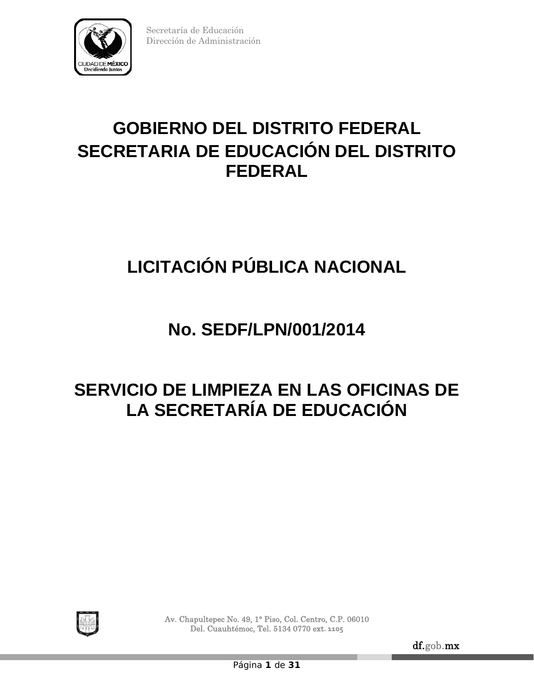

# **GOBIERNO DEL DISTRITO FEDERAL SECRETARIA DE EDUCACIÓN DEL DISTRITO FEDERAL**

# **LICITACIÓN PÚBLICA NACIONAL**

# **No. SEDF/LPN/001/2014**

# **SERVICIO DE LIMPIEZA EN LAS OFICINAS DE LA SECRETARÍA DE EDUCACIÓN**



Av. Chapultepec No. 49, 1° Piso, Col. Centro, C.P. 06010 Del. Cuauhtémoc, Tel. 5134 0770 ext**. 1105**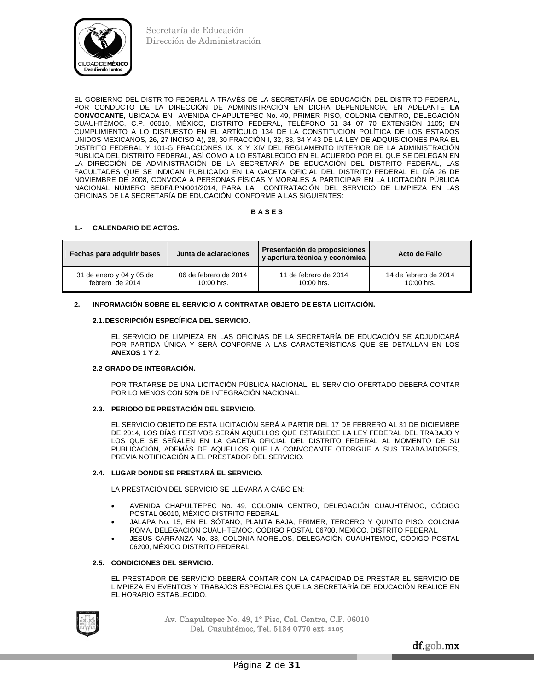

EL GOBIERNO DEL DISTRITO FEDERAL A TRAVÉS DE LA SECRETARÍA DE EDUCACIÓN DEL DISTRITO FEDERAL, POR CONDUCTO DE LA DIRECCIÓN DE ADMINISTRACIÓN EN DICHA DEPENDENCIA, EN ADELANTE **LA CONVOCANTE**, UBICADA EN AVENIDA CHAPULTEPEC No. 49, PRIMER PISO, COLONIA CENTRO, DELEGACIÓN CUAUHTÉMOC, C.P. 06010, MÉXICO, DISTRITO FEDERAL, TELÉFONO 51 34 07 70 EXTENSIÓN 1105; EN CUMPLIMIENTO A LO DISPUESTO EN EL ARTÍCULO 134 DE LA CONSTITUCIÓN POLÍTICA DE LOS ESTADOS UNIDOS MEXICANOS, 26, 27 INCISO A), 28, 30 FRACCIÓN I, 32, 33, 34 Y 43 DE LA LEY DE ADQUISICIONES PARA EL DISTRITO FEDERAL Y 101-G FRACCIONES IX, X Y XIV DEL REGLAMENTO INTERIOR DE LA ADMINISTRACIÓN PÚBLICA DEL DISTRITO FEDERAL, ASÍ COMO A LO ESTABLECIDO EN EL ACUERDO POR EL QUE SE DELEGAN EN LA DIRECCIÓN DE ADMINISTRACIÓN DE LA SECRETARÍA DE EDUCACIÓN DEL DISTRITO FEDERAL, LAS FACULTADES QUE SE INDICAN PUBLICADO EN LA GACETA OFICIAL DEL DISTRITO FEDERAL EL DÍA 26 DE NOVIEMBRE DE 2008, CONVOCA A PERSONAS FÍSICAS Y MORALES A PARTICIPAR EN LA LICITACIÓN PÚBLICA NACIONAL NÚMERO SEDF/LPN/001/2014, PARA LA CONTRATACIÓN DEL SERVICIO DE LIMPIEZA EN LAS OFICINAS DE LA SECRETARÍA DE EDUCACIÓN, CONFORME A LAS SIGUIENTES:

## **B A S E S**

## **1.- CALENDARIO DE ACTOS.**

| Fechas para adquirir bases | Junta de aclaraciones | Presentación de proposiciones<br>y apertura técnica y económica | Acto de Fallo         |
|----------------------------|-----------------------|-----------------------------------------------------------------|-----------------------|
| 31 de enero y 04 y 05 de   | 06 de febrero de 2014 | 11 de febrero de 2014                                           | 14 de febrero de 2014 |
| febrero de 2014            | $10:00$ hrs.          | $10:00$ hrs.                                                    | $10:00$ hrs.          |

## **2.- INFORMACIÓN SOBRE EL SERVICIO A CONTRATAR OBJETO DE ESTA LICITACIÓN.**

## **2.1. DESCRIPCIÓN ESPECÍFICA DEL SERVICIO.**

 EL SERVICIO DE LIMPIEZA EN LAS OFICINAS DE LA SECRETARÍA DE EDUCACIÓN SE ADJUDICARÁ POR PARTIDA ÚNICA Y SERÁ CONFORME A LAS CARACTERÍSTICAS QUE SE DETALLAN EN LOS **ANEXOS 1 Y 2**.

## **2.2 GRADO DE INTEGRACIÓN.**

 POR TRATARSE DE UNA LICITACIÓN PÚBLICA NACIONAL, EL SERVICIO OFERTADO DEBERÁ CONTAR POR LO MENOS CON 50% DE INTEGRACIÓN NACIONAL.

## **2.3. PERIODO DE PRESTACIÓN DEL SERVICIO.**

 EL SERVICIO OBJETO DE ESTA LICITACIÓN SERÁ A PARTIR DEL 17 DE FEBRERO AL 31 DE DICIEMBRE DE 2014, LOS DÍAS FESTIVOS SERÁN AQUELLOS QUE ESTABLECE LA LEY FEDERAL DEL TRABAJO Y LOS QUE SE SEÑALEN EN LA GACETA OFICIAL DEL DISTRITO FEDERAL AL MOMENTO DE SU PUBLICACIÓN, ADEMÁS DE AQUELLOS QUE LA CONVOCANTE OTORGUE A SUS TRABAJADORES, PREVIA NOTIFICACIÓN A EL PRESTADOR DEL SERVICIO.

## **2.4. LUGAR DONDE SE PRESTARÁ EL SERVICIO.**

LA PRESTACIÓN DEL SERVICIO SE LLEVARÁ A CABO EN:

- AVENIDA CHAPULTEPEC No. 49, COLONIA CENTRO, DELEGACIÓN CUAUHTÉMOC, CÓDIGO POSTAL 06010, MÉXICO DISTRITO FEDERAL
- JALAPA No. 15, EN EL SÓTANO, PLANTA BAJA, PRIMER, TERCERO Y QUINTO PISO, COLONIA ROMA, DELEGACIÓN CUAUHTÉMOC, CÓDIGO POSTAL 06700, MÉXICO, DISTRITO FEDERAL.
- JESÚS CARRANZA No. 33, COLONIA MORELOS, DELEGACIÓN CUAUHTÉMOC, CÓDIGO POSTAL 06200, MÉXICO DISTRITO FEDERAL.

#### **2.5. CONDICIONES DEL SERVICIO.**

 EL PRESTADOR DE SERVICIO DEBERÁ CONTAR CON LA CAPACIDAD DE PRESTAR EL SERVICIO DE LIMPIEZA EN EVENTOS Y TRABAJOS ESPECIALES QUE LA SECRETARÍA DE EDUCACIÓN REALICE EN EL HORARIO ESTABLECIDO.

Av. Chapultepec No. 49, 1° Piso, Col. Centro, C.P. 06010 Del. Cuauhtémoc, Tel. 5134 0770 ext**. 1105**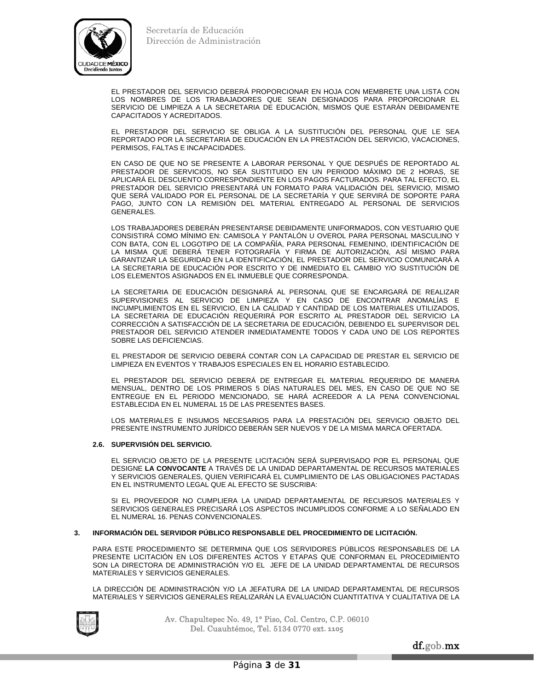

 EL PRESTADOR DEL SERVICIO DEBERÁ PROPORCIONAR EN HOJA CON MEMBRETE UNA LISTA CON LOS NOMBRES DE LOS TRABAJADORES QUE SEAN DESIGNADOS PARA PROPORCIONAR EL SERVICIO DE LIMPIEZA A LA SECRETARIA DE EDUCACIÓN, MISMOS QUE ESTARÁN DEBIDAMENTE CAPACITADOS Y ACREDITADOS.

EL PRESTADOR DEL SERVICIO SE OBLIGA A LA SUSTITUCIÓN DEL PERSONAL QUE LE SEA REPORTADO POR LA SECRETARIA DE EDUCACIÓN EN LA PRESTACIÓN DEL SERVICIO, VACACIONES, PERMISOS, FALTAS E INCAPACIDADES.

EN CASO DE QUE NO SE PRESENTE A LABORAR PERSONAL Y QUE DESPUÉS DE REPORTADO AL PRESTADOR DE SERVICIOS, NO SEA SUSTITUIDO EN UN PERIODO MÁXIMO DE 2 HORAS, SE APLICARÁ EL DESCUENTO CORRESPONDIENTE EN LOS PAGOS FACTURADOS. PARA TAL EFECTO, EL PRESTADOR DEL SERVICIO PRESENTARÁ UN FORMATO PARA VALIDACIÓN DEL SERVICIO, MISMO QUE SERÁ VALIDADO POR EL PERSONAL DE LA SECRETARÍA Y QUE SERVIRÁ DE SOPORTE PARA PAGO, JUNTO CON LA REMISIÓN DEL MATERIAL ENTREGADO AL PERSONAL DE SERVICIOS GENERALES.

LOS TRABAJADORES DEBERÁN PRESENTARSE DEBIDAMENTE UNIFORMADOS, CON VESTUARIO QUE CONSISTIRÁ COMO MÍNIMO EN: CAMISOLA Y PANTALÓN U OVEROL PARA PERSONAL MASCULINO Y CON BATA, CON EL LOGOTIPO DE LA COMPAÑÍA, PARA PERSONAL FEMENINO, IDENTIFICACIÓN DE LA MISMA QUE DEBERÁ TENER FOTOGRAFÍA Y FIRMA DE AUTORIZACIÓN, ASÍ MISMO PARA GARANTIZAR LA SEGURIDAD EN LA IDENTIFICACIÓN, EL PRESTADOR DEL SERVICIO COMUNICARÁ A LA SECRETARIA DE EDUCACIÓN POR ESCRITO Y DE INMEDIATO EL CAMBIO Y/O SUSTITUCIÓN DE LOS ELEMENTOS ASIGNADOS EN EL INMUEBLE QUE CORRESPONDA.

LA SECRETARIA DE EDUCACIÓN DESIGNARÁ AL PERSONAL QUE SE ENCARGARÁ DE REALIZAR SUPERVISIONES AL SERVICIO DE LIMPIEZA Y EN CASO DE ENCONTRAR ANOMALÍAS E INCUMPLIMIENTOS EN EL SERVICIO, EN LA CALIDAD Y CANTIDAD DE LOS MATERIALES UTILIZADOS, LA SECRETARIA DE EDUCACIÓN REQUERIRÁ POR ESCRITO AL PRESTADOR DEL SERVICIO LA CORRECCIÓN A SATISFACCIÓN DE LA SECRETARIA DE EDUCACIÓN, DEBIENDO EL SUPERVISOR DEL PRESTADOR DEL SERVICIO ATENDER INMEDIATAMENTE TODOS Y CADA UNO DE LOS REPORTES SOBRE LAS DEFICIENCIAS.

EL PRESTADOR DE SERVICIO DEBERÁ CONTAR CON LA CAPACIDAD DE PRESTAR EL SERVICIO DE LIMPIEZA EN EVENTOS Y TRABAJOS ESPECIALES EN EL HORARIO ESTABLECIDO.

EL PRESTADOR DEL SERVICIO DEBERÁ DE ENTREGAR EL MATERIAL REQUERIDO DE MANERA MENSUAL, DENTRO DE LOS PRIMEROS 5 DÍAS NATURALES DEL MES, EN CASO DE QUE NO SE ENTREGUE EN EL PERIODO MENCIONADO, SE HARÁ ACREEDOR A LA PENA CONVENCIONAL ESTABLECIDA EN EL NUMERAL 15 DE LAS PRESENTES BASES.

LOS MATERIALES E INSUMOS NECESARIOS PARA LA PRESTACIÓN DEL SERVICIO OBJETO DEL PRESENTE INSTRUMENTO JURÍDICO DEBERÁN SER NUEVOS Y DE LA MISMA MARCA OFERTADA.

## **2.6. SUPERVISIÓN DEL SERVICIO.**

 EL SERVICIO OBJETO DE LA PRESENTE LICITACIÓN SERÁ SUPERVISADO POR EL PERSONAL QUE DESIGNE **LA CONVOCANTE** A TRAVÉS DE LA UNIDAD DEPARTAMENTAL DE RECURSOS MATERIALES Y SERVICIOS GENERALES, QUIEN VERIFICARÁ EL CUMPLIMIENTO DE LAS OBLIGACIONES PACTADAS EN EL INSTRUMENTO LEGAL QUE AL EFECTO SE SUSCRIBA:

 SI EL PROVEEDOR NO CUMPLIERA LA UNIDAD DEPARTAMENTAL DE RECURSOS MATERIALES Y SERVICIOS GENERALES PRECISARÁ LOS ASPECTOS INCUMPLIDOS CONFORME A LO SEÑALADO EN EL NUMERAL 16. PENAS CONVENCIONALES.

## **3. INFORMACIÓN DEL SERVIDOR PÚBLICO RESPONSABLE DEL PROCEDIMIENTO DE LICITACIÓN.**

PARA ESTE PROCEDIMIENTO SE DETERMINA QUE LOS SERVIDORES PÚBLICOS RESPONSABLES DE LA PRESENTE LICITACIÓN EN LOS DIFERENTES ACTOS Y ETAPAS QUE CONFORMAN EL PROCEDIMIENTO SON LA DIRECTORA DE ADMINISTRACIÓN Y/O EL JEFE DE LA UNIDAD DEPARTAMENTAL DE RECURSOS MATERIALES Y SERVICIOS GENERALES.

 LA DIRECCIÓN DE ADMINISTRACIÓN Y/O LA JEFATURA DE LA UNIDAD DEPARTAMENTAL DE RECURSOS MATERIALES Y SERVICIOS GENERALES REALIZARÁN LA EVALUACIÓN CUANTITATIVA Y CUALITATIVA DE LA



Av. Chapultepec No. 49, 1° Piso, Col. Centro, C.P. 06010 Del. Cuauhtémoc, Tel. 5134 0770 ext**. 1105**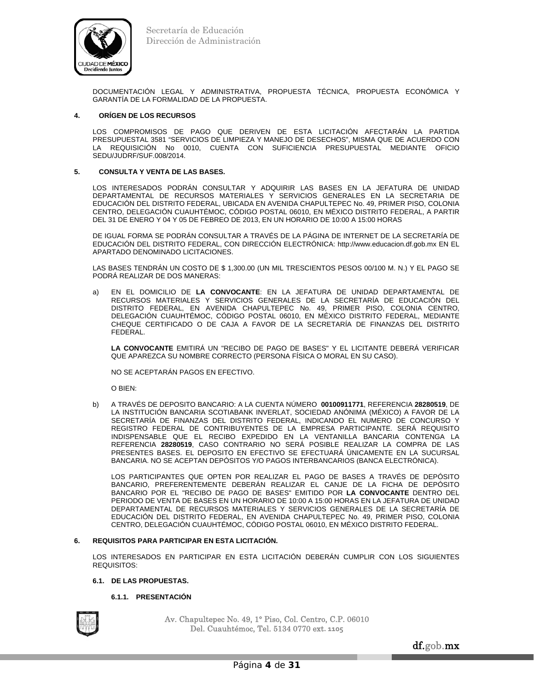

DOCUMENTACIÓN LEGAL Y ADMINISTRATIVA, PROPUESTA TÉCNICA, PROPUESTA ECONÓMICA Y GARANTÍA DE LA FORMALIDAD DE LA PROPUESTA.

## **4. ORÍGEN DE LOS RECURSOS**

LOS COMPROMISOS DE PAGO QUE DERIVEN DE ESTA LICITACIÓN AFECTARÁN LA PARTIDA PRESUPUESTAL 3581 "SERVICIOS DE LIMPIEZA Y MANEJO DE DESECHOS", MISMA QUE DE ACUERDO CON LA REQUISICIÓN No 0010, CUENTA CON SUFICIENCIA PRESUPUESTAL MEDIANTE OFICIO SEDU/JUDRF/SUF.008/2014.

## **5. CONSULTA Y VENTA DE LAS BASES.**

LOS INTERESADOS PODRÁN CONSULTAR Y ADQUIRIR LAS BASES EN LA JEFATURA DE UNIDAD DEPARTAMENTAL DE RECURSOS MATERIALES Y SERVICIOS GENERALES EN LA SECRETARIA DE EDUCACIÓN DEL DISTRITO FEDERAL, UBICADA EN AVENIDA CHAPULTEPEC No. 49, PRIMER PISO, COLONIA CENTRO, DELEGACIÓN CUAUHTÉMOC, CÓDIGO POSTAL 06010, EN MÉXICO DISTRITO FEDERAL, A PARTIR DEL 31 DE ENERO Y 04 Y 05 DE FEBREO DE 2013, EN UN HORARIO DE 10:00 A 15:00 HORAS

DE IGUAL FORMA SE PODRÁN CONSULTAR A TRAVÉS DE LA PÁGINA DE INTERNET DE LA SECRETARÍA DE EDUCACIÓN DEL DISTRITO FEDERAL, CON DIRECCIÓN ELECTRÓNICA: http://www.educacion.df.gob.mx EN EL APARTADO DENOMINADO LICITACIONES.

LAS BASES TENDRÁN UN COSTO DE \$ 1,300.00 (UN MIL TRESCIENTOS PESOS 00/100 M. N.) Y EL PAGO SE PODRÁ REALIZAR DE DOS MANERAS:

a) EN EL DOMICILIO DE **LA CONVOCANTE**: EN LA JEFATURA DE UNIDAD DEPARTAMENTAL DE RECURSOS MATERIALES Y SERVICIOS GENERALES DE LA SECRETARÍA DE EDUCACIÓN DEL DISTRITO FEDERAL, EN AVENIDA CHAPULTEPEC No. 49, PRIMER PISO, COLONIA CENTRO, DELEGACIÓN CUAUHTÉMOC, CÓDIGO POSTAL 06010, EN MÉXICO DISTRITO FEDERAL, MEDIANTE CHEQUE CERTIFICADO O DE CAJA A FAVOR DE LA SECRETARÍA DE FINANZAS DEL DISTRITO FEDERAL.

 **LA CONVOCANTE** EMITIRÁ UN "RECIBO DE PAGO DE BASES" Y EL LICITANTE DEBERÁ VERIFICAR QUE APAREZCA SU NOMBRE CORRECTO (PERSONA FÍSICA O MORAL EN SU CASO).

NO SE ACEPTARÁN PAGOS EN EFECTIVO.

O BIEN:

b) A TRAVÉS DE DEPOSITO BANCARIO: A LA CUENTA NÚMERO **00100911771**, REFERENCIA **28280519**, DE LA INSTITUCIÓN BANCARIA SCOTIABANK INVERLAT, SOCIEDAD ANÓNIMA (MÉXICO) A FAVOR DE LA SECRETARÍA DE FINANZAS DEL DISTRITO FEDERAL, INDICANDO EL NUMERO DE CONCURSO Y REGISTRO FEDERAL DE CONTRIBUYENTES DE LA EMPRESA PARTICIPANTE. SERÁ REQUISITO INDISPENSABLE QUE EL RECIBO EXPEDIDO EN LA VENTANILLA BANCARIA CONTENGA LA REFERENCIA **28280519**, CASO CONTRARIO NO SERÁ POSIBLE REALIZAR LA COMPRA DE LAS PRESENTES BASES. EL DEPOSITO EN EFECTIVO SE EFECTUARÁ ÚNICAMENTE EN LA SUCURSAL BANCARIA. NO SE ACEPTAN DEPÓSITOS Y/O PAGOS INTERBANCARIOS (BANCA ELECTRÓNICA).

 LOS PARTICIPANTES QUE OPTEN POR REALIZAR EL PAGO DE BASES A TRAVÉS DE DEPÓSITO BANCARIO, PREFERENTEMENTE DEBERÁN REALIZAR EL CANJE DE LA FICHA DE DEPÓSITO BANCARIO POR EL "RECIBO DE PAGO DE BASES" EMITIDO POR **LA CONVOCANTE** DENTRO DEL PERIODO DE VENTA DE BASES EN UN HORARIO DE 10:00 A 15:00 HORAS EN LA JEFATURA DE UNIDAD DEPARTAMENTAL DE RECURSOS MATERIALES Y SERVICIOS GENERALES DE LA SECRETARÍA DE EDUCACIÓN DEL DISTRITO FEDERAL, EN AVENIDA CHAPULTEPEC No. 49, PRIMER PISO, COLONIA CENTRO, DELEGACIÓN CUAUHTÉMOC, CÓDIGO POSTAL 06010, EN MÉXICO DISTRITO FEDERAL.

## **6. REQUISITOS PARA PARTICIPAR EN ESTA LICITACIÓN.**

LOS INTERESADOS EN PARTICIPAR EN ESTA LICITACIÓN DEBERÁN CUMPLIR CON LOS SIGUIENTES REQUISITOS:

## **6.1. DE LAS PROPUESTAS.**

## **6.1.1. PRESENTACIÓN**

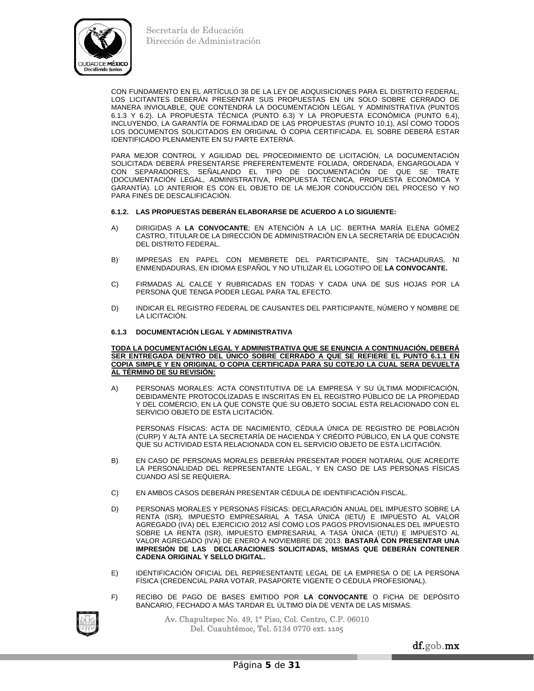

CON FUNDAMENTO EN EL ARTÍCULO 38 DE LA LEY DE ADQUISICIONES PARA EL DISTRITO FEDERAL, LOS LICITANTES DEBERÁN PRESENTAR SUS PROPUESTAS EN UN SOLO SOBRE CERRADO DE MANERA INVIOLABLE, QUE CONTENDRÁ LA DOCUMENTACIÓN LEGAL Y ADMINISTRATIVA (PUNTOS 6.1.3 Y 6.2). LA PROPUESTA TÉCNICA (PUNTO 6.3) Y LA PROPUESTA ECONÓMICA (PUNTO 6.4), INCLUYENDO, LA GARANTÍA DE FORMALIDAD DE LAS PROPUESTAS (PUNTO 10.1), ASÍ COMO TODOS LOS DOCUMENTOS SOLICITADOS EN ORIGINAL Ó COPIA CERTIFICADA. EL SOBRE DEBERÁ ESTAR IDENTIFICADO PLENAMENTE EN SU PARTE EXTERNA.

PARA MEJOR CONTROL Y AGILIDAD DEL PROCEDIMIENTO DE LICITACIÓN, LA DOCUMENTACIÓN SOLICITADA DEBERÁ PRESENTARSE PREFERENTEMENTE FOLIADA, ORDENADA, ENGARGOLADA Y CON SEPARADORES, SEÑALANDO EL TIPO DE DOCUMENTACIÓN DE QUE SE TRATE (DOCUMENTACIÓN LEGAL, ADMINISTRATIVA, PROPUESTA TÉCNICA, PROPUESTA ECONÓMICA Y GARANTÍA). LO ANTERIOR ES CON EL OBJETO DE LA MEJOR CONDUCCIÓN DEL PROCESO Y NO PARA FINES DE DESCALIFICACIÓN.

## **6.1.2. LAS PROPUESTAS DEBERÁN ELABORARSE DE ACUERDO A LO SIGUIENTE:**

- A) DIRIGIDAS A **LA CONVOCANTE**; EN ATENCIÓN A LA LIC. BERTHA MARÍA ELENA GÓMEZ CASTRO, TITULAR DE LA DIRECCIÓN DE ADMINISTRACIÓN EN LA SECRETARÍA DE EDUCACIÓN DEL DISTRITO FEDERAL.
- B) IMPRESAS EN PAPEL CON MEMBRETE DEL PARTICIPANTE, SIN TACHADURAS, NI ENMENDADURAS, EN IDIOMA ESPAÑOL Y NO UTILIZAR EL LOGOTIPO DE **LA CONVOCANTE.**
- C) FIRMADAS AL CALCE Y RUBRICADAS EN TODAS Y CADA UNA DE SUS HOJAS POR LA PERSONA QUE TENGA PODER LEGAL PARA TAL EFECTO.
- D) INDICAR EL REGISTRO FEDERAL DE CAUSANTES DEL PARTICIPANTE, NÚMERO Y NOMBRE DE LA LICITACIÓN.

## **6.1.3 DOCUMENTACIÓN LEGAL Y ADMINISTRATIVA**

**TODA LA DOCUMENTACIÓN LEGAL Y ADMINISTRATIVA QUE SE ENUNCIA A CONTINUACIÓN, DEBERÁ SER ENTREGADA DENTRO DEL ÚNICO SOBRE CERRADO A QUE SE REFIERE EL PUNTO 6.1.1 EN COPIA SIMPLE Y EN ORIGINAL O COPIA CERTIFICADA PARA SU COTEJO LA CUAL SERA DEVUELTA AL TÉRMINO DE SU REVISIÓN:** 

A) PERSONAS MORALES: ACTA CONSTITUTIVA DE LA EMPRESA Y SU ÚLTIMA MODIFICACIÓN, DEBIDAMENTE PROTOCOLIZADAS E INSCRITAS EN EL REGISTRO PÚBLICO DE LA PROPIEDAD Y DEL COMERCIO, EN LA QUE CONSTE QUE SU OBJETO SOCIAL ESTA RELACIONADO CON EL SERVICIO OBJETO DE ESTA LICITACIÓN.

 PERSONAS FÍSICAS: ACTA DE NACIMIENTO, CÉDULA ÚNICA DE REGISTRO DE POBLACIÓN (CURP) Y ALTA ANTE LA SECRETARÍA DE HACIENDA Y CRÉDITO PÚBLICO, EN LA QUE CONSTE QUE SU ACTIVIDAD ESTA RELACIONADA CON EL SERVICIO OBJETO DE ESTA LICITACIÓN.

- B) EN CASO DE PERSONAS MORALES DEBERÁN PRESENTAR PODER NOTARIAL QUE ACREDITE LA PERSONALIDAD DEL REPRESENTANTE LEGAL, Y EN CASO DE LAS PERSONAS FÍSICAS CUANDO ASÍ SE REQUIERA.
- C) EN AMBOS CASOS DEBERÁN PRESENTAR CÉDULA DE IDENTIFICACIÓN FISCAL.
- D) PERSONAS MORALES Y PERSONAS FÍSICAS: DECLARACIÓN ANUAL DEL IMPUESTO SOBRE LA RENTA (ISR), IMPUESTO EMPRESARIAL A TASA ÚNICA (IETU) E IMPUESTO AL VALOR AGREGADO (IVA) DEL EJERCICIO 2012 ASÍ COMO LOS PAGOS PROVISIONALES DEL IMPUESTO SOBRE LA RENTA (ISR), IMPUESTO EMPRESARIAL A TASA ÚNICA (IETU) E IMPUESTO AL VALOR AGREGADO (IVA) DE ENERO A NOVIEMBRE DE 2013. **BASTARÁ CON PRESENTAR UNA IMPRESIÓN DE LAS DECLARACIONES SOLICITADAS, MISMAS QUE DEBERÁN CONTENER CADENA ORIGINAL Y SELLO DIGITAL.**
- E) IDENTIFICACIÓN OFICIAL DEL REPRESENTANTE LEGAL DE LA EMPRESA O DE LA PERSONA FÍSICA (CREDENCIAL PARA VOTAR, PASAPORTE VIGENTE O CÉDULA PROFESIONAL).
- F) RECIBO DE PAGO DE BASES EMITIDO POR **LA CONVOCANTE** O FICHA DE DEPÓSITO BANCARIO, FECHADO A MÁS TARDAR EL ÚLTIMO DÍA DE VENTA DE LAS MISMAS.



Av. Chapultepec No. 49, 1° Piso, Col. Centro, C.P. 06010 Del. Cuauhtémoc, Tel. 5134 0770 ext**. 1105**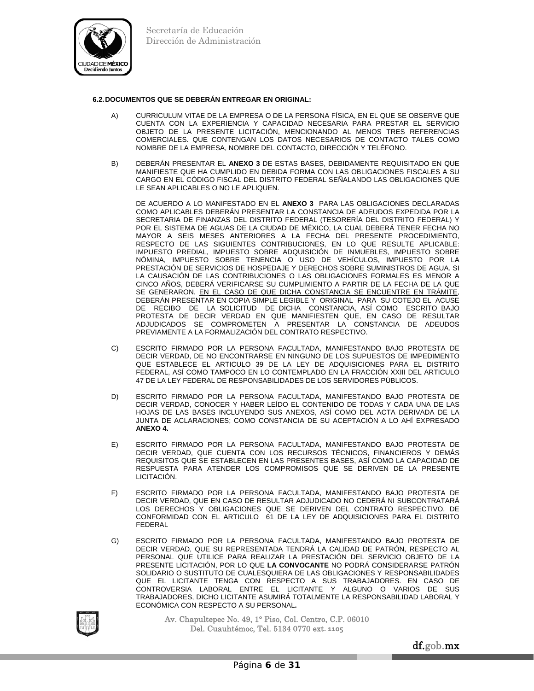

## **6.2. DOCUMENTOS QUE SE DEBERÁN ENTREGAR EN ORIGINAL:**

- A) CURRICULUM VITAE DE LA EMPRESA O DE LA PERSONA FÍSICA, EN EL QUE SE OBSERVE QUE CUENTA CON LA EXPERIENCIA Y CAPACIDAD NECESARIA PARA PRESTAR EL SERVICIO OBJETO DE LA PRESENTE LICITACIÓN, MENCIONANDO AL MENOS TRES REFERENCIAS COMERCIALES. QUE CONTENGAN LOS DATOS NECESARIOS DE CONTACTO TALES COMO NOMBRE DE LA EMPRESA, NOMBRE DEL CONTACTO, DIRECCIÓN Y TELÉFONO.
- B) DEBERÁN PRESENTAR EL **ANEXO 3** DE ESTAS BASES, DEBIDAMENTE REQUISITADO EN QUE MANIFIESTE QUE HA CUMPLIDO EN DEBIDA FORMA CON LAS OBLIGACIONES FISCALES A SU CARGO EN EL CÓDIGO FISCAL DEL DISTRITO FEDERAL SEÑALANDO LAS OBLIGACIONES QUE LE SEAN APLICABLES O NO LE APLIQUEN.

 DE ACUERDO A LO MANIFESTADO EN EL **ANEXO 3** PARA LAS OBLIGACIONES DECLARADAS COMO APLICABLES DEBERÁN PRESENTAR LA CONSTANCIA DE ADEUDOS EXPEDIDA POR LA SECRETARIA DE FINANZAS DEL DISTRITO FEDERAL (TESORERÍA DEL DISTRITO FEDERAL) Y POR EL SISTEMA DE AGUAS DE LA CIUDAD DE MÉXICO, LA CUAL DEBERÁ TENER FECHA NO MAYOR A SEIS MESES ANTERIORES A LA FECHA DEL PRESENTE PROCEDIMIENTO, RESPECTO DE LAS SIGUIENTES CONTRIBUCIONES, EN LO QUE RESULTE APLICABLE: IMPUESTO PREDIAL, IMPUESTO SOBRE ADQUISICIÓN DE INMUEBLES, IMPUESTO SOBRE NÓMINA, IMPUESTO SOBRE TENENCIA O USO DE VEHÍCULOS, IMPUESTO POR LA PRESTACIÓN DE SERVICIOS DE HOSPEDAJE Y DERECHOS SOBRE SUMINISTROS DE AGUA. SI LA CAUSACIÓN DE LAS CONTRIBUCIONES O LAS OBLIGACIONES FORMALES ES MENOR A CINCO AÑOS, DEBERÁ VERIFICARSE SU CUMPLIMIENTO A PARTIR DE LA FECHA DE LA QUE SE GENERARON. EN EL CASO DE QUE DICHA CONSTANCIA SE ENCUENTRE EN TRÁMITE, DEBERÁN PRESENTAR EN COPIA SIMPLE LEGIBLE Y ORIGINAL PARA SU COTEJO EL ACUSE DE RECIBO DE LA SOLICITUD DE DICHA CONSTANCIA, ASÍ COMO ESCRITO BAJO PROTESTA DE DECIR VERDAD EN QUE MANIFIESTEN QUE, EN CASO DE RESULTAR ADJUDICADOS SE COMPROMETEN A PRESENTAR LA CONSTANCIA DE ADEUDOS PREVIAMENTE A LA FORMALIZACIÓN DEL CONTRATO RESPECTIVO.

- C) ESCRITO FIRMADO POR LA PERSONA FACULTADA, MANIFESTANDO BAJO PROTESTA DE DECIR VERDAD, DE NO ENCONTRARSE EN NINGUNO DE LOS SUPUESTOS DE IMPEDIMENTO QUE ESTABLECE EL ARTICULO 39 DE LA LEY DE ADQUISICIONES PARA EL DISTRITO FEDERAL, ASÍ COMO TAMPOCO EN LO CONTEMPLADO EN LA FRACCIÓN XXIII DEL ARTICULO 47 DE LA LEY FEDERAL DE RESPONSABILIDADES DE LOS SERVIDORES PÚBLICOS.
- D) ESCRITO FIRMADO POR LA PERSONA FACULTADA, MANIFESTANDO BAJO PROTESTA DE DECIR VERDAD, CONOCER Y HABER LEÍDO EL CONTENIDO DE TODAS Y CADA UNA DE LAS HOJAS DE LAS BASES INCLUYENDO SUS ANEXOS, ASÍ COMO DEL ACTA DERIVADA DE LA JUNTA DE ACLARACIONES; COMO CONSTANCIA DE SU ACEPTACIÓN A LO AHÍ EXPRESADO **ANEXO 4.**
- E) ESCRITO FIRMADO POR LA PERSONA FACULTADA, MANIFESTANDO BAJO PROTESTA DE DECIR VERDAD, QUE CUENTA CON LOS RECURSOS TÉCNICOS, FINANCIEROS Y DEMÁS REQUISITOS QUE SE ESTABLECEN EN LAS PRESENTES BASES, ASÍ COMO LA CAPACIDAD DE RESPUESTA PARA ATENDER LOS COMPROMISOS QUE SE DERIVEN DE LA PRESENTE LICITACIÓN.
- F) ESCRITO FIRMADO POR LA PERSONA FACULTADA, MANIFESTANDO BAJO PROTESTA DE DECIR VERDAD, QUE EN CASO DE RESULTAR ADJUDICADO NO CEDERÁ NI SUBCONTRATARÁ LOS DERECHOS Y OBLIGACIONES QUE SE DERIVEN DEL CONTRATO RESPECTIVO. DE CONFORMIDAD CON EL ARTICULO 61 DE LA LEY DE ADQUISICIONES PARA EL DISTRITO FEDERAL
- G) ESCRITO FIRMADO POR LA PERSONA FACULTADA, MANIFESTANDO BAJO PROTESTA DE DECIR VERDAD, QUE SU REPRESENTADA TENDRÁ LA CALIDAD DE PATRÓN, RESPECTO AL PERSONAL QUE UTILICE PARA REALIZAR LA PRESTACIÓN DEL SERVICIO OBJETO DE LA PRESENTE LICITACIÓN, POR LO QUE **LA CONVOCANTE** NO PODRÁ CONSIDERARSE PATRÓN SOLIDARIO O SUSTITUTO DE CUALESQUIERA DE LAS OBLIGACIONES Y RESPONSABILIDADES QUE EL LICITANTE TENGA CON RESPECTO A SUS TRABAJADORES. EN CASO DE CONTROVERSIA LABORAL ENTRE EL LICITANTE Y ALGUNO O VARIOS DE SUS TRABAJADORES, DICHO LICITANTE ASUMIRÁ TOTALMENTE LA RESPONSABILIDAD LABORAL Y ECONÓMICA CON RESPECTO A SU PERSONAL**.**

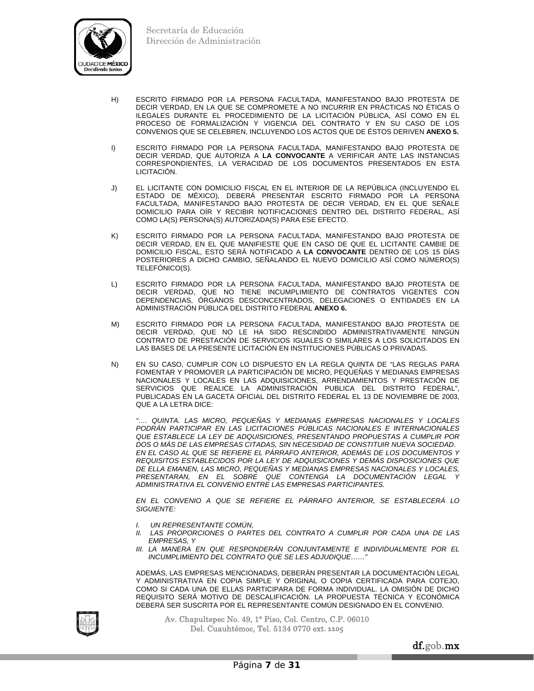

- H) ESCRITO FIRMADO POR LA PERSONA FACULTADA, MANIFESTANDO BAJO PROTESTA DE DECIR VERDAD, EN LA QUE SE COMPROMETE A NO INCURRIR EN PRÁCTICAS NO ÉTICAS O ILEGALES DURANTE EL PROCEDIMIENTO DE LA LICITACIÓN PÚBLICA, ASÍ COMO EN EL PROCESO DE FORMALIZACIÓN Y VIGENCIA DEL CONTRATO Y EN SU CASO DE LOS CONVENIOS QUE SE CELEBREN, INCLUYENDO LOS ACTOS QUE DE ÉSTOS DERIVEN **ANEXO 5.**
- I) ESCRITO FIRMADO POR LA PERSONA FACULTADA, MANIFESTANDO BAJO PROTESTA DE DECIR VERDAD, QUE AUTORIZA A **LA CONVOCANTE** A VERIFICAR ANTE LAS INSTANCIAS CORRESPONDIENTES, LA VERACIDAD DE LOS DOCUMENTOS PRESENTADOS EN ESTA LICITACIÓN.
- J) EL LICITANTE CON DOMICILIO FISCAL EN EL INTERIOR DE LA REPÚBLICA (INCLUYENDO EL ESTADO DE MÉXICO), DEBERÁ PRESENTAR ESCRITO FIRMADO POR LA PERSONA FACULTADA, MANIFESTANDO BAJO PROTESTA DE DECIR VERDAD, EN EL QUE SEÑALE DOMICILIO PARA OÍR Y RECIBIR NOTIFICACIONES DENTRO DEL DISTRITO FEDERAL, ASÍ COMO LA(S) PERSONA(S) AUTORIZADA(S) PARA ESE EFECTO.
- K) ESCRITO FIRMADO POR LA PERSONA FACULTADA, MANIFESTANDO BAJO PROTESTA DE DECIR VERDAD, EN EL QUE MANIFIESTE QUE EN CASO DE QUE EL LICITANTE CAMBIE DE DOMICILIO FISCAL, ESTO SERÁ NOTIFICADO A **LA CONVOCANTE** DENTRO DE LOS 15 DÍAS POSTERIORES A DICHO CAMBIO, SEÑALANDO EL NUEVO DOMICILIO ASÍ COMO NÚMERO(S) TELEFÓNICO(S).
- L) ESCRITO FIRMADO POR LA PERSONA FACULTADA, MANIFESTANDO BAJO PROTESTA DE DECIR VERDAD, QUE NO TIENE INCUMPLIMIENTO DE CONTRATOS VIGENTES CON DEPENDENCIAS, ÓRGANOS DESCONCENTRADOS, DELEGACIONES O ENTIDADES EN LA ADMINISTRACIÓN PÚBLICA DEL DISTRITO FEDERAL **ANEXO 6.**
- M) ESCRITO FIRMADO POR LA PERSONA FACULTADA, MANIFESTANDO BAJO PROTESTA DE DECIR VERDAD, QUE NO LE HA SIDO RESCINDIDO ADMINISTRATIVAMENTE NINGÚN CONTRATO DE PRESTACIÓN DE SERVICIOS IGUALES O SIMILARES A LOS SOLICITADOS EN LAS BASES DE LA PRESENTE LICITACIÓN EN INSTITUCIONES PÚBLICAS O PRIVADAS.
- N) EN SU CASO, CUMPLIR CON LO DISPUESTO EN LA REGLA QUINTA DE "LAS REGLAS PARA FOMENTAR Y PROMOVER LA PARTICIPACIÓN DE MICRO, PEQUEÑAS Y MEDIANAS EMPRESAS NACIONALES Y LOCALES EN LAS ADQUISICIONES, ARRENDAMIENTOS Y PRESTACIÓN DE SERVICIOS QUE REALICE LA ADMINISTRACIÓN PUBLICA DEL DISTRITO FEDERAL", PUBLICADAS EN LA GACETA OFICIAL DEL DISTRITO FEDERAL EL 13 DE NOVIEMBRE DE 2003, QUE A LA LETRA DICE:

*"…. QUINTA. LAS MICRO, PEQUEÑAS Y MEDIANAS EMPRESAS NACIONALES Y LOCALES PODRÁN PARTICIPAR EN LAS LICITACIONES PÚBLICAS NACIONALES E INTERNACIONALES QUE ESTABLECE LA LEY DE ADQUISICIONES, PRESENTANDO PROPUESTAS A CUMPLIR POR DOS O MÁS DE LAS EMPRESAS CITADAS, SIN NECESIDAD DE CONSTITUIR NUEVA SOCIEDAD. EN EL CASO AL QUE SE REFIERE EL PÁRRAFO ANTERIOR, ADEMÁS DE LOS DOCUMENTOS Y REQUISITOS ESTABLECIDOS POR LA LEY DE ADQUISICIONES Y DEMÁS DISPOSICIONES QUE DE ELLA EMANEN, LAS MICRO, PEQUEÑAS Y MEDIANAS EMPRESAS NACIONALES Y LOCALES,*  PRESENTARAN, EN EL SOBRE QUE CONTENGA LA DOCUMENTACIÓN LEGAL *ADMINISTRATIVA EL CONVENIO ENTRE LAS EMPRESAS PARTICIPANTES.* 

*EN EL CONVENIO A QUE SE REFIERE EL PÁRRAFO ANTERIOR, SE ESTABLECERÁ LO SIGUIENTE:* 

- *I. UN REPRESENTANTE COMÚN,*
- *II. LAS PROPORCIONES O PARTES DEL CONTRATO A CUMPLIR POR CADA UNA DE LAS EMPRESAS, Y*
- *III. LA MANERA EN QUE RESPONDERÁN CONJUNTAMENTE E INDIVIDUALMENTE POR EL INCUMPLIMIENTO DEL CONTRATO QUE SE LES ADJUDIQUE……"*

ADEMÁS, LAS EMPRESAS MENCIONADAS, DEBERÁN PRESENTAR LA DOCUMENTACIÓN LEGAL Y ADMINISTRATIVA EN COPIA SIMPLE Y ORIGINAL O COPIA CERTIFICADA PARA COTEJO, COMO SI CADA UNA DE ELLAS PARTICIPARA DE FORMA INDIVIDUAL. LA OMISIÓN DE DICHO REQUISITO SERÁ MOTIVO DE DESCALIFICACIÓN. LA PROPUESTA TÉCNICA Y ECONÓMICA DEBERÁ SER SUSCRITA POR EL REPRESENTANTE COMÚN DESIGNADO EN EL CONVENIO.

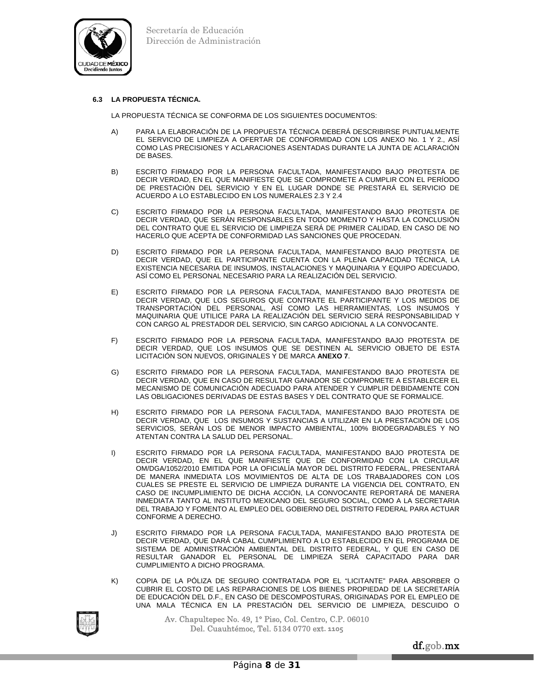

## **6.3 LA PROPUESTA TÉCNICA.**

LA PROPUESTA TÉCNICA SE CONFORMA DE LOS SIGUIENTES DOCUMENTOS:

- A) PARA LA ELABORACIÓN DE LA PROPUESTA TÉCNICA DEBERÁ DESCRIBIRSE PUNTUALMENTE EL SERVICIO DE LIMPIEZA A OFERTAR DE CONFORMIDAD CON LOS ANEXO No. 1 Y 2., ASÍ COMO LAS PRECISIONES Y ACLARACIONES ASENTADAS DURANTE LA JUNTA DE ACLARACIÓN DE BASES.
- B) ESCRITO FIRMADO POR LA PERSONA FACULTADA, MANIFESTANDO BAJO PROTESTA DE DECIR VERDAD, EN EL QUE MANIFIESTE QUE SE COMPROMETE A CUMPLIR CON EL PERÍODO DE PRESTACIÓN DEL SERVICIO Y EN EL LUGAR DONDE SE PRESTARÁ EL SERVICIO DE ACUERDO A LO ESTABLECIDO EN LOS NUMERALES 2.3 Y 2.4
- C) ESCRITO FIRMADO POR LA PERSONA FACULTADA, MANIFESTANDO BAJO PROTESTA DE DECIR VERDAD, QUE SERÁN RESPONSABLES EN TODO MOMENTO Y HASTA LA CONCLUSIÓN DEL CONTRATO QUE EL SERVICIO DE LIMPIEZA SERÁ DE PRIMER CALIDAD, EN CASO DE NO HACERLO QUE ACEPTA DE CONFORMIDAD LAS SANCIONES QUE PROCEDAN.
- D) ESCRITO FIRMADO POR LA PERSONA FACULTADA, MANIFESTANDO BAJO PROTESTA DE DECIR VERDAD, QUE EL PARTICIPANTE CUENTA CON LA PLENA CAPACIDAD TÉCNICA, LA EXISTENCIA NECESARIA DE INSUMOS, INSTALACIONES Y MAQUINARIA Y EQUIPO ADECUADO, ASÍ COMO EL PERSONAL NECESARIO PARA LA REALIZACIÓN DEL SERVICIO.
- E) ESCRITO FIRMADO POR LA PERSONA FACULTADA, MANIFESTANDO BAJO PROTESTA DE DECIR VERDAD, QUE LOS SEGUROS QUE CONTRATE EL PARTICIPANTE Y LOS MEDIOS DE TRANSPORTACIÓN DEL PERSONAL, ASÍ COMO LAS HERRAMIENTAS, LOS INSUMOS Y MAQUINARIA QUE UTILICE PARA LA REALIZACIÓN DEL SERVICIO SERÁ RESPONSABILIDAD Y CON CARGO AL PRESTADOR DEL SERVICIO, SIN CARGO ADICIONAL A LA CONVOCANTE.
- F) ESCRITO FIRMADO POR LA PERSONA FACULTADA, MANIFESTANDO BAJO PROTESTA DE DECIR VERDAD, QUE LOS INSUMOS QUE SE DESTINEN AL SERVICIO OBJETO DE ESTA LICITACIÓN SON NUEVOS, ORIGINALES Y DE MARCA **ANEXO 7**.
- G) ESCRITO FIRMADO POR LA PERSONA FACULTADA, MANIFESTANDO BAJO PROTESTA DE DECIR VERDAD, QUE EN CASO DE RESULTAR GANADOR SE COMPROMETE A ESTABLECER EL MECANISMO DE COMUNICACIÓN ADECUADO PARA ATENDER Y CUMPLIR DEBIDAMENTE CON LAS OBLIGACIONES DERIVADAS DE ESTAS BASES Y DEL CONTRATO QUE SE FORMALICE.
- H) ESCRITO FIRMADO POR LA PERSONA FACULTADA, MANIFESTANDO BAJO PROTESTA DE DECIR VERDAD, QUE LOS INSUMOS Y SUSTANCIAS A UTILIZAR EN LA PRESTACIÓN DE LOS SERVICIOS, SERÁN LOS DE MENOR IMPACTO AMBIENTAL, 100% BIODEGRADABLES Y NO ATENTAN CONTRA LA SALUD DEL PERSONAL.
- I) ESCRITO FIRMADO POR LA PERSONA FACULTADA, MANIFESTANDO BAJO PROTESTA DE DECIR VERDAD, EN EL QUE MANIFIESTE QUE DE CONFORMIDAD CON LA CIRCULAR OM/DGA/1052/2010 EMITIDA POR LA OFICIALÍA MAYOR DEL DISTRITO FEDERAL, PRESENTARÁ DE MANERA INMEDIATA LOS MOVIMIENTOS DE ALTA DE LOS TRABAJADORES CON LOS CUALES SE PRESTE EL SERVICIO DE LIMPIEZA DURANTE LA VIGENCIA DEL CONTRATO, EN CASO DE INCUMPLIMIENTO DE DICHA ACCIÓN, LA CONVOCANTE REPORTARÁ DE MANERA INMEDIATA TANTO AL INSTITUTO MEXICANO DEL SEGURO SOCIAL, COMO A LA SECRETARIA DEL TRABAJO Y FOMENTO AL EMPLEO DEL GOBIERNO DEL DISTRITO FEDERAL PARA ACTUAR CONFORME A DERECHO.
- J) ESCRITO FIRMADO POR LA PERSONA FACULTADA, MANIFESTANDO BAJO PROTESTA DE DECIR VERDAD, QUE DARÁ CABAL CUMPLIMIENTO A LO ESTABLECIDO EN EL PROGRAMA DE SISTEMA DE ADMINISTRACIÓN AMBIENTAL DEL DISTRITO FEDERAL, Y QUE EN CASO DE RESULTAR GANADOR EL PERSONAL DE LIMPIEZA SERÁ CAPACITADO PARA DAR CUMPLIMIENTO A DICHO PROGRAMA.
- K) COPIA DE LA PÓLIZA DE SEGURO CONTRATADA POR EL "LICITANTE" PARA ABSORBER O CUBRIR EL COSTO DE LAS REPARACIONES DE LOS BIENES PROPIEDAD DE LA SECRETARÍA DE EDUCACIÓN DEL D.F., EN CASO DE DESCOMPOSTURAS, ORIGINADAS POR EL EMPLEO DE UNA MALA TÉCNICA EN LA PRESTACIÓN DEL SERVICIO DE LIMPIEZA, DESCUIDO O

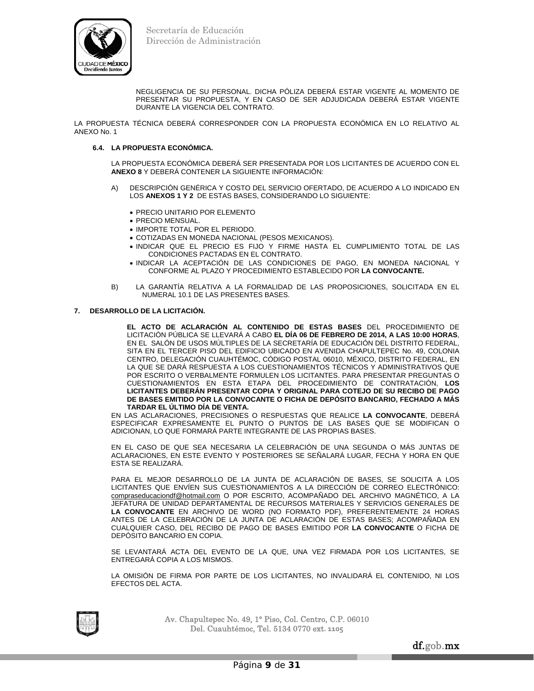

NEGLIGENCIA DE SU PERSONAL. DICHA PÓLIZA DEBERÁ ESTAR VIGENTE AL MOMENTO DE PRESENTAR SU PROPUESTA, Y EN CASO DE SER ADJUDICADA DEBERÁ ESTAR VIGENTE DURANTE LA VIGENCIA DEL CONTRATO.

LA PROPUESTA TÉCNICA DEBERÁ CORRESPONDER CON LA PROPUESTA ECONÓMICA EN LO RELATIVO AL ANEXO No. 1

## **6.4. LA PROPUESTA ECONÓMICA.**

LA PROPUESTA ECONÓMICA DEBERÁ SER PRESENTADA POR LOS LICITANTES DE ACUERDO CON EL **ANEXO 8** Y DEBERÁ CONTENER LA SIGUIENTE INFORMACIÓN:

- A) DESCRIPCIÓN GENÉRICA Y COSTO DEL SERVICIO OFERTADO, DE ACUERDO A LO INDICADO EN LOS **ANEXOS 1 Y 2** DE ESTAS BASES, CONSIDERANDO LO SIGUIENTE:
	- PRECIO UNITARIO POR ELEMENTO
	- PRECIO MENSUAL.
	- IMPORTE TOTAL POR EL PERIODO.
	- COTIZADAS EN MONEDA NACIONAL (PESOS MEXICANOS).
	- INDICAR QUE EL PRECIO ES FIJO Y FIRME HASTA EL CUMPLIMIENTO TOTAL DE LAS CONDICIONES PACTADAS EN EL CONTRATO.
	- INDICAR LA ACEPTACIÓN DE LAS CONDICIONES DE PAGO, EN MONEDA NACIONAL Y CONFORME AL PLAZO Y PROCEDIMIENTO ESTABLECIDO POR **LA CONVOCANTE.**
- B) LA GARANTÍA RELATIVA A LA FORMALIDAD DE LAS PROPOSICIONES, SOLICITADA EN EL NUMERAL 10.1 DE LAS PRESENTES BASES.

## **7. DESARROLLO DE LA LICITACIÓN.**

**EL ACTO DE ACLARACIÓN AL CONTENIDO DE ESTAS BASES** DEL PROCEDIMIENTO DE LICITACIÓN PÚBLICA SE LLEVARÁ A CABO **EL DÍA 06 DE FEBRERO DE 2014, A LAS 10:00 HORAS**, EN EL SALÓN DE USOS MÚLTIPLES DE LA SECRETARÍA DE EDUCACIÓN DEL DISTRITO FEDERAL, SITA EN EL TERCER PISO DEL EDIFICIO UBICADO EN AVENIDA CHAPULTEPEC No. 49, COLONIA CENTRO, DELEGACIÓN CUAUHTÉMOC, CÓDIGO POSTAL 06010, MÉXICO, DISTRITO FEDERAL, EN LA QUE SE DARÁ RESPUESTA A LOS CUESTIONAMIENTOS TÉCNICOS Y ADMINISTRATIVOS QUE POR ESCRITO O VERBALMENTE FORMULEN LOS LICITANTES. PARA PRESENTAR PREGUNTAS O CUESTIONAMIENTOS EN ESTA ETAPA DEL PROCEDIMIENTO DE CONTRATACIÓN, **LOS LICITANTES DEBERÁN PRESENTAR COPIA Y ORIGINAL PARA COTEJO DE SU RECIBO DE PAGO DE BASES EMITIDO POR LA CONVOCANTE O FICHA DE DEPÓSITO BANCARIO, FECHADO A MÁS TARDAR EL ÚLTIMO DÍA DE VENTA.**

 EN LAS ACLARACIONES, PRECISIONES O RESPUESTAS QUE REALICE **LA CONVOCANTE**, DEBERÁ ESPECIFICAR EXPRESAMENTE EL PUNTO O PUNTOS DE LAS BASES QUE SE MODIFICAN O ADICIONAN, LO QUE FORMARÁ PARTE INTEGRANTE DE LAS PROPIAS BASES.

 EN EL CASO DE QUE SEA NECESARIA LA CELEBRACIÓN DE UNA SEGUNDA O MÁS JUNTAS DE ACLARACIONES, EN ESTE EVENTO Y POSTERIORES SE SEÑALARÁ LUGAR, FECHA Y HORA EN QUE ESTA SE REALIZARÁ.

 PARA EL MEJOR DESARROLLO DE LA JUNTA DE ACLARACIÓN DE BASES, SE SOLICITA A LOS LICITANTES QUE ENVÍEN SUS CUESTIONAMIENTOS A LA DIRECCIÓN DE CORREO ELECTRÓNICO: compraseducaciondf@hotmail.com O POR ESCRITO, ACOMPAÑADO DEL ARCHIVO MAGNÉTICO, A LA JEFATURA DE UNIDAD DEPARTAMENTAL DE RECURSOS MATERIALES Y SERVICIOS GENERALES DE **LA CONVOCANTE** EN ARCHIVO DE WORD (NO FORMATO PDF), PREFERENTEMENTE 24 HORAS ANTES DE LA CELEBRACIÓN DE LA JUNTA DE ACLARACIÓN DE ESTAS BASES; ACOMPAÑADA EN CUALQUIER CASO, DEL RECIBO DE PAGO DE BASES EMITIDO POR **LA CONVOCANTE** O FICHA DE DEPÓSITO BANCARIO EN COPIA.

 SE LEVANTARÁ ACTA DEL EVENTO DE LA QUE, UNA VEZ FIRMADA POR LOS LICITANTES, SE ENTREGARÁ COPIA A LOS MISMOS.

 LA OMISIÓN DE FIRMA POR PARTE DE LOS LICITANTES, NO INVALIDARÁ EL CONTENIDO, NI LOS EFECTOS DEL ACTA.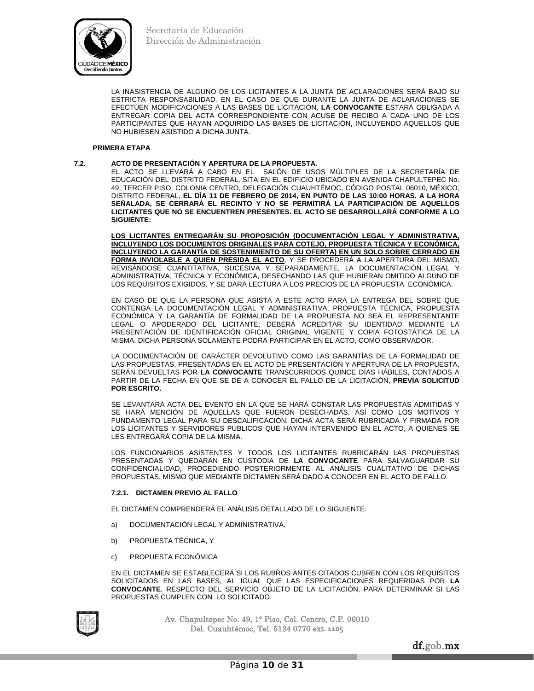

 LA INASISTENCIA DE ALGUNO DE LOS LICITANTES A LA JUNTA DE ACLARACIONES SERÁ BAJO SU ESTRICTA RESPONSABILIDAD. EN EL CASO DE QUE DURANTE LA JUNTA DE ACLARACIONES SE EFECTÚEN MODIFICACIONES A LAS BASES DE LICITACIÓN, **LA CONVOCANTE** ESTARÁ OBLIGADA A ENTREGAR COPIA DEL ACTA CORRESPONDIENTE CON ACUSE DE RECIBO A CADA UNO DE LOS PARTICIPANTES QUE HAYAN ADQUIRIDO LAS BASES DE LICITACIÓN, INCLUYENDO AQUELLOS QUE NO HUBIESEN ASISTIDO A DICHA JUNTA.

## **PRIMERA ETAPA**

## **7.2. ACTO DE PRESENTACIÓN Y APERTURA DE LA PROPUESTA.**

EL ACTO SE LLEVARÁ A CABO EN EL SALÓN DE USOS MÚLTIPLES DE LA SECRETARÍA DE EDUCACIÓN DEL DISTRITO FEDERAL, SITA EN EL EDIFICIO UBICADO EN AVENIDA CHAPULTEPEC No. 49, TERCER PISO, COLONIA CENTRO, DELEGACIÓN CUAUHTÉMOC, CÓDIGO POSTAL 06010, MÉXICO, DISTRITO FEDERAL, **EL DÍA 11 DE FEBRERO DE 2014, EN PUNTO DE LAS 10:00 HORAS. A LA HORA SEÑALADA, SE CERRARÁ EL RECINTO Y NO SE PERMITIRÁ LA PARTICIPACIÓN DE AQUELLOS LICITANTES QUE NO SE ENCUENTREN PRESENTES. EL ACTO SE DESARROLLARÁ CONFORME A LO SIGUIENTE:** 

 **LOS LICITANTES ENTREGARÁN SU PROPOSICIÓN (DOCUMENTACIÓN LEGAL Y ADMINISTRATIVA, INCLUYENDO LOS DOCUMENTOS ORIGINALES PARA COTEJO, PROPUESTA TÉCNICA Y ECONÓMICA, INCLUYENDO LA GARANTÍA DE SOSTENIMIENTO DE SU OFERTA) EN UN SOLO SOBRE CERRADO EN FORMA INVIOLABLE A QUIEN PRESIDA EL ACTO**, Y SE PROCEDERÁ A LA APERTURA DEL MISMO, REVISÁNDOSE CUANTITATIVA, SUCESIVA Y SEPARADAMENTE, LA DOCUMENTACIÓN LEGAL Y ADMINISTRATIVA, TÉCNICA Y ECONÓMICA, DESECHANDO LAS QUE HUBIERAN OMITIDO ALGUNO DE LOS REQUISITOS EXIGIDOS. Y SE DARA LECTURA A LOS PRECIOS DE LA PROPUESTA ECONÓMICA.

 EN CASO DE QUE LA PERSONA QUE ASISTA A ESTE ACTO PARA LA ENTREGA DEL SOBRE QUE CONTENGA LA DOCUMENTACIÓN LEGAL Y ADMINISTRATIVA, PROPUESTA TÉCNICA, PROPUESTA ECONÓMICA Y LA GARANTÍA DE FORMALIDAD DE LA PROPUESTA NO SEA EL REPRESENTANTE LEGAL O APODERADO DEL LICITANTE; DEBERÁ ACREDITAR SU IDENTIDAD MEDIANTE LA PRESENTACIÓN DE IDENTIFICACIÓN OFICIAL ORIGINAL VIGENTE Y COPIA FOTOSTÁTICA DE LA MISMA. DICHA PERSONA SOLAMENTE PODRÁ PARTICIPAR EN EL ACTO, COMO OBSERVADOR.

 LA DOCUMENTACIÓN DE CARÁCTER DEVOLUTIVO COMO LAS GARANTÍAS DE LA FORMALIDAD DE LAS PROPUESTAS, PRESENTADAS EN EL ACTO DE PRESENTACIÓN Y APERTURA DE LA PROPUESTA, SERÁN DEVUELTAS POR **LA CONVOCANTE** TRANSCURRIDOS QUINCE DÍAS HÁBILES, CONTADOS A PARTIR DE LA FECHA EN QUE SE DÉ A CONOCER EL FALLO DE LA LICITACIÓN, **PREVIA SOLICITUD POR ESCRITO.**

 SE LEVANTARÁ ACTA DEL EVENTO EN LA QUE SE HARÁ CONSTAR LAS PROPUESTAS ADMITIDAS Y SE HARÁ MENCIÓN DE AQUELLAS QUE FUERON DESECHADAS, ASÍ COMO LOS MOTIVOS Y FUNDAMENTO LEGAL PARA SU DESCALIFICACIÓN. DICHA ACTA SERÁ RUBRICADA Y FIRMADA POR LOS LICITANTES Y SERVIDORES PÚBLICOS QUE HAYAN INTERVENIDO EN EL ACTO, A QUIENES SE LES ENTREGARÁ COPIA DE LA MISMA.

 LOS FUNCIONARIOS ASISTENTES Y TODOS LOS LICITANTES RUBRICARÁN LAS PROPUESTAS PRESENTADAS Y QUEDARAN EN CUSTODIA DE **LA CONVOCANTE** PARA SALVAGUARDAR SU CONFIDENCIALIDAD, PROCEDIENDO POSTERIORMENTE AL ANÁLISIS CUALITATIVO DE DICHAS PROPUESTAS, MISMO QUE MEDIANTE DICTAMEN SERÁ DADO A CONOCER EN EL ACTO DE FALLO.

## **7.2.1. DICTAMEN PREVIO AL FALLO**

EL DICTAMEN COMPRENDERÁ EL ANÁLISIS DETALLADO DE LO SIGUIENTE:

- a) DOCUMENTACIÓN LEGAL Y ADMINISTRATIVA.
- b) PROPUESTA TÉCNICA, Y
- c) PROPUESTA ECONÓMICA

 EN EL DICTAMEN SE ESTABLECERÁ SI LOS RUBROS ANTES CITADOS CUBREN CON LOS REQUISITOS SOLICITADOS EN LAS BASES, AL IGUAL QUE LAS ESPECIFICACIONES REQUERIDAS POR **LA CONVOCANTE**, RESPECTO DEL SERVICIO OBJETO DE LA LICITACIÓN, PARA DETERMINAR SI LAS PROPUESTAS CUMPLEN CON LO SOLICITADO.

Av. Chapultepec No. 49, 1° Piso, Col. Centro, C.P. 06010 Del. Cuauhtémoc, Tel. 5134 0770 ext**. 1105**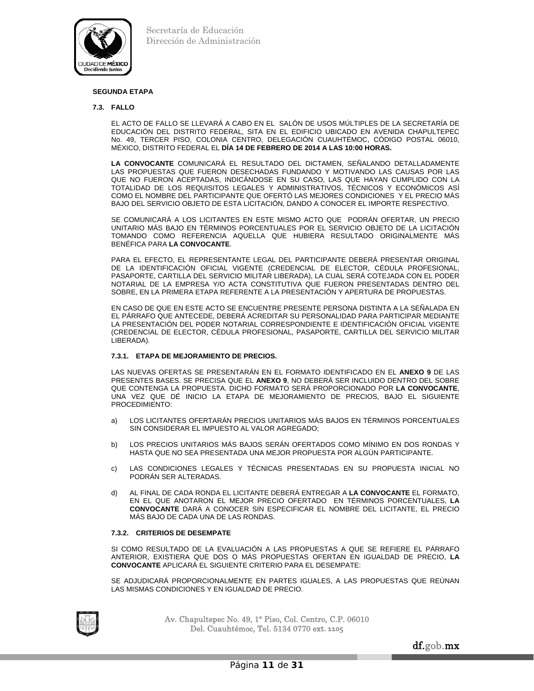

## **SEGUNDA ETAPA**

#### **7.3. FALLO**

 EL ACTO DE FALLO SE LLEVARÁ A CABO EN EL SALÓN DE USOS MÚLTIPLES DE LA SECRETARÍA DE EDUCACIÓN DEL DISTRITO FEDERAL, SITA EN EL EDIFICIO UBICADO EN AVENIDA CHAPULTEPEC No. 49, TERCER PISO, COLONIA CENTRO, DELEGACIÓN CUAUHTÉMOC, CÓDIGO POSTAL 06010, MÉXICO, DISTRITO FEDERAL EL **DÍA 14 DE FEBRERO DE 2014 A LAS 10:00 HORAS.** 

**LA CONVOCANTE** COMUNICARÁ EL RESULTADO DEL DICTAMEN, SEÑALANDO DETALLADAMENTE LAS PROPUESTAS QUE FUERON DESECHADAS FUNDANDO Y MOTIVANDO LAS CAUSAS POR LAS QUE NO FUERON ACEPTADAS, INDICÁNDOSE EN SU CASO, LAS QUE HAYAN CUMPLIDO CON LA TOTALIDAD DE LOS REQUISITOS LEGALES Y ADMINISTRATIVOS, TÉCNICOS Y ECONÓMICOS ASÍ COMO EL NOMBRE DEL PARTICIPANTE QUE OFERTÓ LAS MEJORES CONDICIONES Y EL PRECIO MÁS BAJO DEL SERVICIO OBJETO DE ESTA LICITACIÓN, DANDO A CONOCER EL IMPORTE RESPECTIVO.

 SE COMUNICARÁ A LOS LICITANTES EN ESTE MISMO ACTO QUE PODRÁN OFERTAR, UN PRECIO UNITARIO MÁS BAJO EN TÉRMINOS PORCENTUALES POR EL SERVICIO OBJETO DE LA LICITACIÓN TOMANDO COMO REFERENCIA AQUELLA QUE HUBIERA RESULTADO ORIGINALMENTE MÁS BENÉFICA PARA **LA CONVOCANTE**.

 PARA EL EFECTO, EL REPRESENTANTE LEGAL DEL PARTICIPANTE DEBERÁ PRESENTAR ORIGINAL DE LA IDENTIFICACIÓN OFICIAL VIGENTE (CREDENCIAL DE ELECTOR, CÉDULA PROFESIONAL, PASAPORTE, CARTILLA DEL SERVICIO MILITAR LIBERADA), LA CUAL SERÁ COTEJADA CON EL PODER NOTARIAL DE LA EMPRESA Y/O ACTA CONSTITUTIVA QUE FUERON PRESENTADAS DENTRO DEL SOBRE, EN LA PRIMERA ETAPA REFERENTE A LA PRESENTACIÓN Y APERTURA DE PROPUESTAS.

 EN CASO DE QUE EN ESTE ACTO SE ENCUENTRE PRESENTE PERSONA DISTINTA A LA SEÑALADA EN EL PÁRRAFO QUE ANTECEDE, DEBERÁ ACREDITAR SU PERSONALIDAD PARA PARTICIPAR MEDIANTE LA PRESENTACIÓN DEL PODER NOTARIAL CORRESPONDIENTE E IDENTIFICACIÓN OFICIAL VIGENTE (CREDENCIAL DE ELECTOR, CÉDULA PROFESIONAL, PASAPORTE, CARTILLA DEL SERVICIO MILITAR LIBERADA).

## **7.3.1. ETAPA DE MEJORAMIENTO DE PRECIOS.**

 LAS NUEVAS OFERTAS SE PRESENTARÁN EN EL FORMATO IDENTIFICADO EN EL **ANEXO 9** DE LAS PRESENTES BASES. SE PRECISA QUE EL **ANEXO 9**, NO DEBERÁ SER INCLUIDO DENTRO DEL SOBRE QUE CONTENGA LA PROPUESTA. DICHO FORMATO SERÁ PROPORCIONADO POR **LA CONVOCANTE**, UNA VEZ QUE DÉ INICIO LA ETAPA DE MEJORAMIENTO DE PRECIOS, BAJO EL SIGUIENTE PROCEDIMIENTO:

- a) LOS LICITANTES OFERTARÁN PRECIOS UNITARIOS MÁS BAJOS EN TÉRMINOS PORCENTUALES SIN CONSIDERAR EL IMPUESTO AL VALOR AGREGADO;
- b) LOS PRECIOS UNITARIOS MÁS BAJOS SERÁN OFERTADOS COMO MÍNIMO EN DOS RONDAS Y HASTA QUE NO SEA PRESENTADA UNA MEJOR PROPUESTA POR ALGÚN PARTICIPANTE.
- c) LAS CONDICIONES LEGALES Y TÉCNICAS PRESENTADAS EN SU PROPUESTA INICIAL NO PODRÁN SER ALTERADAS.
- d) AL FINAL DE CADA RONDA EL LICITANTE DEBERÁ ENTREGAR A **LA CONVOCANTE** EL FORMATO, EN EL QUE ANOTARON EL MEJOR PRECIO OFERTADO EN TÉRMINOS PORCENTUALES, **LA CONVOCANTE** DARÁ A CONOCER SIN ESPECIFICAR EL NOMBRE DEL LICITANTE, EL PRECIO MÁS BAJO DE CADA UNA DE LAS RONDAS.

## **7.3.2. CRITERIOS DE DESEMPATE**

 SI COMO RESULTADO DE LA EVALUACIÓN A LAS PROPUESTAS A QUE SE REFIERE EL PÁRRAFO ANTERIOR, EXISTIERA QUE DOS O MÁS PROPUESTAS OFERTAN EN IGUALDAD DE PRECIO, **LA CONVOCANTE** APLICARÁ EL SIGUIENTE CRITERIO PARA EL DESEMPATE:

SE ADJUDICARÁ PROPORCIONALMENTE EN PARTES IGUALES, A LAS PROPUESTAS QUE REÚNAN LAS MISMAS CONDICIONES Y EN IGUALDAD DE PRECIO.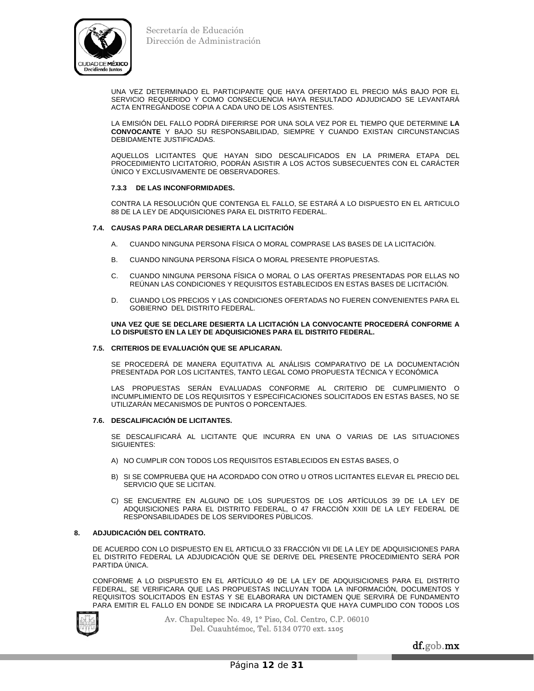

 UNA VEZ DETERMINADO EL PARTICIPANTE QUE HAYA OFERTADO EL PRECIO MÁS BAJO POR EL SERVICIO REQUERIDO Y COMO CONSECUENCIA HAYA RESULTADO ADJUDICADO SE LEVANTARÁ ACTA ENTREGÁNDOSE COPIA A CADA UNO DE LOS ASISTENTES.

 LA EMISIÓN DEL FALLO PODRÁ DIFERIRSE POR UNA SOLA VEZ POR EL TIEMPO QUE DETERMINE **LA CONVOCANTE** Y BAJO SU RESPONSABILIDAD, SIEMPRE Y CUANDO EXISTAN CIRCUNSTANCIAS DEBIDAMENTE JUSTIFICADAS.

 AQUELLOS LICITANTES QUE HAYAN SIDO DESCALIFICADOS EN LA PRIMERA ETAPA DEL PROCEDIMIENTO LICITATORIO, PODRÁN ASISTIR A LOS ACTOS SUBSECUENTES CON EL CARÁCTER ÚNICO Y EXCLUSIVAMENTE DE OBSERVADORES.

## **7.3.3 DE LAS INCONFORMIDADES.**

 CONTRA LA RESOLUCIÓN QUE CONTENGA EL FALLO, SE ESTARÁ A LO DISPUESTO EN EL ARTICULO 88 DE LA LEY DE ADQUISICIONES PARA EL DISTRITO FEDERAL.

## **7.4. CAUSAS PARA DECLARAR DESIERTA LA LICITACIÓN**

- A. CUANDO NINGUNA PERSONA FÍSICA O MORAL COMPRASE LAS BASES DE LA LICITACIÓN.
- B. CUANDO NINGUNA PERSONA FÍSICA O MORAL PRESENTE PROPUESTAS.
- C. CUANDO NINGUNA PERSONA FÍSICA O MORAL O LAS OFERTAS PRESENTADAS POR ELLAS NO REÚNAN LAS CONDICIONES Y REQUISITOS ESTABLECIDOS EN ESTAS BASES DE LICITACIÓN.
- D. CUANDO LOS PRECIOS Y LAS CONDICIONES OFERTADAS NO FUEREN CONVENIENTES PARA EL GOBIERNO DEL DISTRITO FEDERAL.

## **UNA VEZ QUE SE DECLARE DESIERTA LA LICITACIÓN LA CONVOCANTE PROCEDERÁ CONFORME A LO DISPUESTO EN LA LEY DE ADQUISICIONES PARA EL DISTRITO FEDERAL.**

## **7.5. CRITERIOS DE EVALUACIÓN QUE SE APLICARAN.**

 SE PROCEDERÁ DE MANERA EQUITATIVA AL ANÁLISIS COMPARATIVO DE LA DOCUMENTACIÓN PRESENTADA POR LOS LICITANTES, TANTO LEGAL COMO PROPUESTA TÉCNICA Y ECONÓMICA

 LAS PROPUESTAS SERÁN EVALUADAS CONFORME AL CRITERIO DE CUMPLIMIENTO O INCUMPLIMIENTO DE LOS REQUISITOS Y ESPECIFICACIONES SOLICITADOS EN ESTAS BASES, NO SE UTILIZARÁN MECANISMOS DE PUNTOS O PORCENTAJES.

## **7.6. DESCALIFICACIÓN DE LICITANTES.**

 SE DESCALIFICARÁ AL LICITANTE QUE INCURRA EN UNA O VARIAS DE LAS SITUACIONES SIGUIENTES:

- A) NO CUMPLIR CON TODOS LOS REQUISITOS ESTABLECIDOS EN ESTAS BASES, O
- B) SI SE COMPRUEBA QUE HA ACORDADO CON OTRO U OTROS LICITANTES ELEVAR EL PRECIO DEL SERVICIO QUE SE LICITAN.
- C) SE ENCUENTRE EN ALGUNO DE LOS SUPUESTOS DE LOS ARTÍCULOS 39 DE LA LEY DE ADQUISICIONES PARA EL DISTRITO FEDERAL, O 47 FRACCIÓN XXIII DE LA LEY FEDERAL DE RESPONSABILIDADES DE LOS SERVIDORES PÚBLICOS.

## **8. ADJUDICACIÓN DEL CONTRATO.**

 DE ACUERDO CON LO DISPUESTO EN EL ARTICULO 33 FRACCIÓN VII DE LA LEY DE ADQUISICIONES PARA EL DISTRITO FEDERAL LA ADJUDICACIÓN QUE SE DERIVE DEL PRESENTE PROCEDIMIENTO SERÁ POR PARTIDA ÚNICA.

 CONFORME A LO DISPUESTO EN EL ARTÍCULO 49 DE LA LEY DE ADQUISICIONES PARA EL DISTRITO FEDERAL, SE VERIFICARA QUE LAS PROPUESTAS INCLUYAN TODA LA INFORMACIÓN, DOCUMENTOS Y REQUISITOS SOLICITADOS EN ESTAS Y SE ELABORARA UN DICTAMEN QUE SERVIRÁ DE FUNDAMENTO PARA EMITIR EL FALLO EN DONDE SE INDICARA LA PROPUESTA QUE HAYA CUMPLIDO CON TODOS LOS

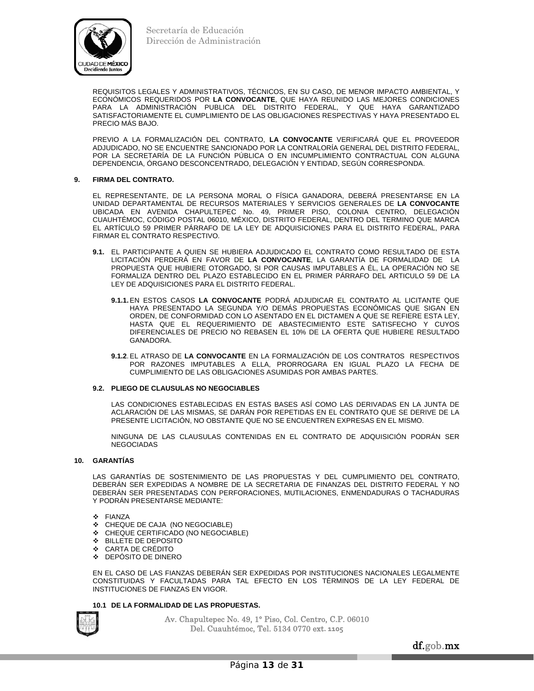

REQUISITOS LEGALES Y ADMINISTRATIVOS, TÉCNICOS, EN SU CASO, DE MENOR IMPACTO AMBIENTAL, Y ECONÓMICOS REQUERIDOS POR **LA CONVOCANTE**, QUE HAYA REUNIDO LAS MEJORES CONDICIONES PARA LA ADMINISTRACIÓN PUBLICA DEL DISTRITO FEDERAL, Y QUE HAYA GARANTIZADO SATISFACTORIAMENTE EL CUMPLIMIENTO DE LAS OBLIGACIONES RESPECTIVAS Y HAYA PRESENTADO EL PRECIO MÁS BAJO.

 PREVIO A LA FORMALIZACIÓN DEL CONTRATO, **LA CONVOCANTE** VERIFICARÁ QUE EL PROVEEDOR ADJUDICADO, NO SE ENCUENTRE SANCIONADO POR LA CONTRALORÍA GENERAL DEL DISTRITO FEDERAL, POR LA SECRETARÍA DE LA FUNCIÓN PÚBLICA O EN INCUMPLIMIENTO CONTRACTUAL CON ALGUNA DEPENDENCIA, ÓRGANO DESCONCENTRADO, DELEGACIÓN Y ENTIDAD, SEGÚN CORRESPONDA.

## **9. FIRMA DEL CONTRATO.**

 EL REPRESENTANTE, DE LA PERSONA MORAL O FÍSICA GANADORA, DEBERÁ PRESENTARSE EN LA UNIDAD DEPARTAMENTAL DE RECURSOS MATERIALES Y SERVICIOS GENERALES DE **LA CONVOCANTE** UBICADA EN AVENIDA CHAPULTEPEC No. 49, PRIMER PISO, COLONIA CENTRO, DELEGACIÓN CUAUHTÉMOC, CÓDIGO POSTAL 06010, MÉXICO, DISTRITO FEDERAL, DENTRO DEL TERMINO QUE MARCA EL ARTÍCULO 59 PRIMER PÁRRAFO DE LA LEY DE ADQUISICIONES PARA EL DISTRITO FEDERAL, PARA FIRMAR EL CONTRATO RESPECTIVO.

- **9.1.** EL PARTICIPANTE A QUIEN SE HUBIERA ADJUDICADO EL CONTRATO COMO RESULTADO DE ESTA LICITACIÓN PERDERÁ EN FAVOR DE **LA CONVOCANTE**, LA GARANTÍA DE FORMALIDAD DE LA PROPUESTA QUE HUBIERE OTORGADO, SI POR CAUSAS IMPUTABLES A ÉL, LA OPERACIÓN NO SE FORMALIZA DENTRO DEL PLAZO ESTABLECIDO EN EL PRIMER PÁRRAFO DEL ARTICULO 59 DE LA LEY DE ADQUISICIONES PARA EL DISTRITO FEDERAL.
	- **9.1.1.** EN ESTOS CASOS **LA CONVOCANTE** PODRÁ ADJUDICAR EL CONTRATO AL LICITANTE QUE HAYA PRESENTADO LA SEGUNDA Y/O DEMÁS PROPUESTAS ECONÓMICAS QUE SIGAN EN ORDEN, DE CONFORMIDAD CON LO ASENTADO EN EL DICTAMEN A QUE SE REFIERE ESTA LEY, HASTA QUE EL REQUERIMIENTO DE ABASTECIMIENTO ESTE SATISFECHO Y CUYOS DIFERENCIALES DE PRECIO NO REBASEN EL 10% DE LA OFERTA QUE HUBIERE RESULTADO GANADORA.
	- **9.1.2**. EL ATRASO DE **LA CONVOCANTE** EN LA FORMALIZACIÓN DE LOS CONTRATOS RESPECTIVOS POR RAZONES IMPUTABLES A ELLA, PRORROGARA EN IGUAL PLAZO LA FECHA DE CUMPLIMIENTO DE LAS OBLIGACIONES ASUMIDAS POR AMBAS PARTES.

## **9.2. PLIEGO DE CLAUSULAS NO NEGOCIABLES**

 LAS CONDICIONES ESTABLECIDAS EN ESTAS BASES ASÍ COMO LAS DERIVADAS EN LA JUNTA DE ACLARACIÓN DE LAS MISMAS, SE DARÁN POR REPETIDAS EN EL CONTRATO QUE SE DERIVE DE LA PRESENTE LICITACIÓN, NO OBSTANTE QUE NO SE ENCUENTREN EXPRESAS EN EL MISMO.

 NINGUNA DE LAS CLAUSULAS CONTENIDAS EN EL CONTRATO DE ADQUISICIÓN PODRÁN SER NEGOCIADAS

## **10. GARANTÍAS**

LAS GARANTÍAS DE SOSTENIMIENTO DE LAS PROPUESTAS Y DEL CUMPLIMIENTO DEL CONTRATO, DEBERÁN SER EXPEDIDAS A NOMBRE DE LA SECRETARIA DE FINANZAS DEL DISTRITO FEDERAL Y NO DEBERÁN SER PRESENTADAS CON PERFORACIONES, MUTILACIONES, ENMENDADURAS O TACHADURAS Y PODRÁN PRESENTARSE MEDIANTE:

- ❖ FIANZA
- CHEQUE DE CAJA (NO NEGOCIABLE)
- CHEQUE CERTIFICADO (NO NEGOCIABLE)
- BILLETE DE DEPOSITO
- CARTA DE CRÉDITO
- DEPÓSITO DE DINERO

 EN EL CASO DE LAS FIANZAS DEBERÁN SER EXPEDIDAS POR INSTITUCIONES NACIONALES LEGALMENTE CONSTITUIDAS Y FACULTADAS PARA TAL EFECTO EN LOS TÉRMINOS DE LA LEY FEDERAL DE INSTITUCIONES DE FIANZAS EN VIGOR.

## **10.1 DE LA FORMALIDAD DE LAS PROPUESTAS.**

Av. Chapultepec No. 49, 1° Piso, Col. Centro, C.P. 06010 Del. Cuauhtémoc, Tel. 5134 0770 ext**. 1105**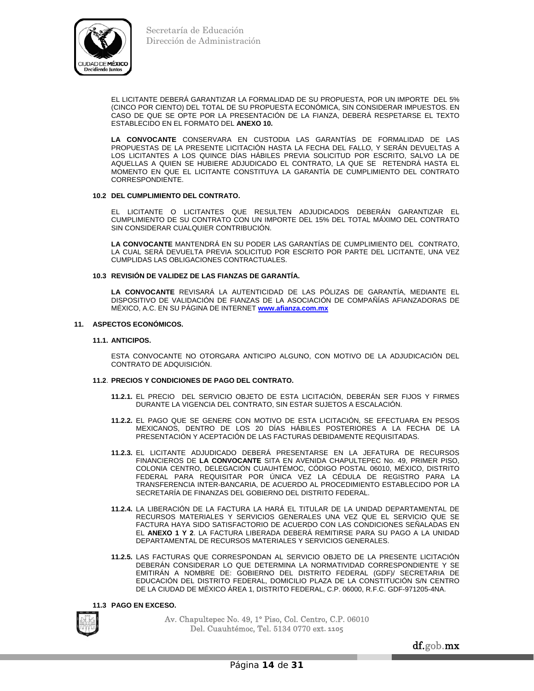

 EL LICITANTE DEBERÁ GARANTIZAR LA FORMALIDAD DE SU PROPUESTA, POR UN IMPORTE DEL 5% (CINCO POR CIENTO) DEL TOTAL DE SU PROPUESTA ECONÓMICA, SIN CONSIDERAR IMPUESTOS. EN CASO DE QUE SE OPTE POR LA PRESENTACIÓN DE LA FIANZA, DEBERÁ RESPETARSE EL TEXTO ESTABLECIDO EN EL FORMATO DEL **ANEXO 10.**

**LA CONVOCANTE** CONSERVARA EN CUSTODIA LAS GARANTÍAS DE FORMALIDAD DE LAS PROPUESTAS DE LA PRESENTE LICITACIÓN HASTA LA FECHA DEL FALLO, Y SERÁN DEVUELTAS A LOS LICITANTES A LOS QUINCE DÍAS HÁBILES PREVIA SOLICITUD POR ESCRITO, SALVO LA DE AQUELLAS A QUIEN SE HUBIERE ADJUDICADO EL CONTRATO, LA QUE SE RETENDRÁ HASTA EL MOMENTO EN QUE EL LICITANTE CONSTITUYA LA GARANTÍA DE CUMPLIMIENTO DEL CONTRATO CORRESPONDIENTE.

## **10.2 DEL CUMPLIMIENTO DEL CONTRATO.**

 EL LICITANTE O LICITANTES QUE RESULTEN ADJUDICADOS DEBERÁN GARANTIZAR EL CUMPLIMIENTO DE SU CONTRATO CON UN IMPORTE DEL 15% DEL TOTAL MÁXIMO DEL CONTRATO SIN CONSIDERAR CUALQUIER CONTRIBUCIÓN.

**LA CONVOCANTE** MANTENDRÁ EN SU PODER LAS GARANTÍAS DE CUMPLIMIENTO DEL CONTRATO, LA CUAL SERÁ DEVUELTA PREVIA SOLICITUD POR ESCRITO POR PARTE DEL LICITANTE, UNA VEZ CUMPLIDAS LAS OBLIGACIONES CONTRACTUALES.

## **10.3 REVISIÓN DE VALIDEZ DE LAS FIANZAS DE GARANTÍA.**

**LA CONVOCANTE** REVISARÁ LA AUTENTICIDAD DE LAS PÓLIZAS DE GARANTÍA, MEDIANTE EL DISPOSITIVO DE VALIDACIÓN DE FIANZAS DE LA ASOCIACIÓN DE COMPAÑÍAS AFIANZADORAS DE MÉXICO, A.C. EN SU PÁGINA DE INTERNET **www.afianza.com.mx**

## **11. ASPECTOS ECONÓMICOS.**

## **11.1. ANTICIPOS.**

 ESTA CONVOCANTE NO OTORGARA ANTICIPO ALGUNO, CON MOTIVO DE LA ADJUDICACIÓN DEL CONTRATO DE ADQUISICIÓN.

## **11.2**. **PRECIOS Y CONDICIONES DE PAGO DEL CONTRATO.**

- **11.2.1.** EL PRECIO DEL SERVICIO OBJETO DE ESTA LICITACIÓN, DEBERÁN SER FIJOS Y FIRMES DURANTE LA VIGENCIA DEL CONTRATO, SIN ESTAR SUJETOS A ESCALACIÓN.
- **11.2.2.** EL PAGO QUE SE GENERE CON MOTIVO DE ESTA LICITACIÓN, SE EFECTUARA EN PESOS MEXICANOS, DENTRO DE LOS 20 DÍAS HÁBILES POSTERIORES A LA FECHA DE LA PRESENTACIÓN Y ACEPTACIÓN DE LAS FACTURAS DEBIDAMENTE REQUISITADAS.
- **11.2.3.** EL LICITANTE ADJUDICADO DEBERÁ PRESENTARSE EN LA JEFATURA DE RECURSOS FINANCIEROS DE **LA CONVOCANTE** SITA EN AVENIDA CHAPULTEPEC No. 49, PRIMER PISO, COLONIA CENTRO, DELEGACIÓN CUAUHTÉMOC, CÓDIGO POSTAL 06010, MÉXICO, DISTRITO FEDERAL PARA REQUISITAR POR ÚNICA VEZ LA CÉDULA DE REGISTRO PARA LA TRANSFERENCIA INTER-BANCARIA, DE ACUERDO AL PROCEDIMIENTO ESTABLECIDO POR LA SECRETARÍA DE FINANZAS DEL GOBIERNO DEL DISTRITO FEDERAL.
- **11.2.4.** LA LIBERACIÓN DE LA FACTURA LA HARÁ EL TITULAR DE LA UNIDAD DEPARTAMENTAL DE RECURSOS MATERIALES Y SERVICIOS GENERALES UNA VEZ QUE EL SERVICIO QUE SE FACTURA HAYA SIDO SATISFACTORIO DE ACUERDO CON LAS CONDICIONES SEÑALADAS EN EL **ANEXO 1 Y 2**. LA FACTURA LIBERADA DEBERÁ REMITIRSE PARA SU PAGO A LA UNIDAD DEPARTAMENTAL DE RECURSOS MATERIALES Y SERVICIOS GENERALES.
- **11.2.5.** LAS FACTURAS QUE CORRESPONDAN AL SERVICIO OBJETO DE LA PRESENTE LICITACIÓN DEBERÁN CONSIDERAR LO QUE DETERMINA LA NORMATIVIDAD CORRESPONDIENTE Y SE EMITIRÁN A NOMBRE DE: GOBIERNO DEL DISTRITO FEDERAL (GDF)/ SECRETARIA DE EDUCACIÓN DEL DISTRITO FEDERAL, DOMICILIO PLAZA DE LA CONSTITUCIÓN S/N CENTRO DE LA CIUDAD DE MÉXICO ÁREA 1, DISTRITO FEDERAL, C.P. 06000, R.F.C. GDF-971205-4NA.

**11.3 PAGO EN EXCESO.** 



Av. Chapultepec No. 49, 1° Piso, Col. Centro, C.P. 06010 Del. Cuauhtémoc, Tel. 5134 0770 ext**. 1105**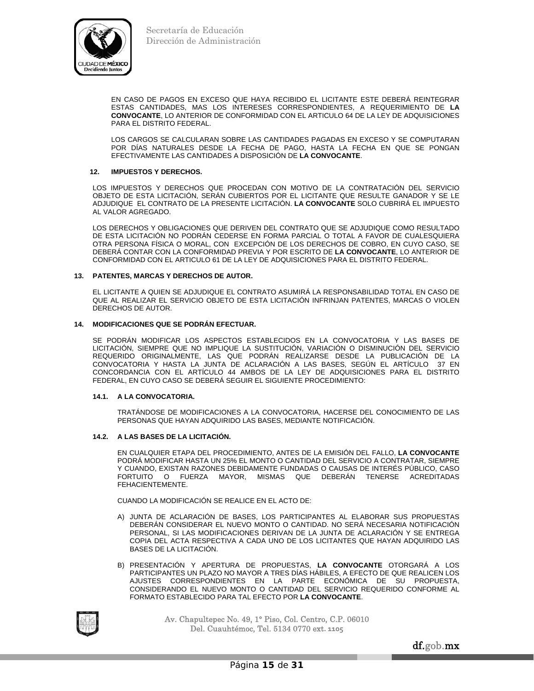

 EN CASO DE PAGOS EN EXCESO QUE HAYA RECIBIDO EL LICITANTE ESTE DEBERÁ REINTEGRAR ESTAS CANTIDADES, MAS LOS INTERESES CORRESPONDIENTES, A REQUERIMIENTO DE **LA CONVOCANTE**, LO ANTERIOR DE CONFORMIDAD CON EL ARTICULO 64 DE LA LEY DE ADQUISICIONES PARA EL DISTRITO FEDERAL.

 LOS CARGOS SE CALCULARAN SOBRE LAS CANTIDADES PAGADAS EN EXCESO Y SE COMPUTARAN POR DÍAS NATURALES DESDE LA FECHA DE PAGO, HASTA LA FECHA EN QUE SE PONGAN EFECTIVAMENTE LAS CANTIDADES A DISPOSICIÓN DE **LA CONVOCANTE**.

## **12. IMPUESTOS Y DERECHOS.**

LOS IMPUESTOS Y DERECHOS QUE PROCEDAN CON MOTIVO DE LA CONTRATACIÓN DEL SERVICIO OBJETO DE ESTA LICITACIÓN, SERÁN CUBIERTOS POR EL LICITANTE QUE RESULTE GANADOR Y SE LE ADJUDIQUE EL CONTRATO DE LA PRESENTE LICITACIÓN. **LA CONVOCANTE** SOLO CUBRIRÁ EL IMPUESTO AL VALOR AGREGADO.

LOS DERECHOS Y OBLIGACIONES QUE DERIVEN DEL CONTRATO QUE SE ADJUDIQUE COMO RESULTADO DE ESTA LICITACIÓN NO PODRÁN CEDERSE EN FORMA PARCIAL O TOTAL A FAVOR DE CUALESQUIERA OTRA PERSONA FÍSICA O MORAL, CON EXCEPCIÓN DE LOS DERECHOS DE COBRO, EN CUYO CASO, SE DEBERÁ CONTAR CON LA CONFORMIDAD PREVIA Y POR ESCRITO DE **LA CONVOCANTE**, LO ANTERIOR DE CONFORMIDAD CON EL ARTICULO 61 DE LA LEY DE ADQUISICIONES PARA EL DISTRITO FEDERAL.

#### **13. PATENTES, MARCAS Y DERECHOS DE AUTOR.**

EL LICITANTE A QUIEN SE ADJUDIQUE EL CONTRATO ASUMIRÁ LA RESPONSABILIDAD TOTAL EN CASO DE QUE AL REALIZAR EL SERVICIO OBJETO DE ESTA LICITACIÓN INFRINJAN PATENTES, MARCAS O VIOLEN DERECHOS DE AUTOR.

#### **14. MODIFICACIONES QUE SE PODRÁN EFECTUAR.**

SE PODRÁN MODIFICAR LOS ASPECTOS ESTABLECIDOS EN LA CONVOCATORIA Y LAS BASES DE LICITACIÓN, SIEMPRE QUE NO IMPLIQUE LA SUSTITUCIÓN, VARIACIÓN O DISMINUCIÓN DEL SERVICIO REQUERIDO ORIGINALMENTE, LAS QUE PODRÁN REALIZARSE DESDE LA PUBLICACIÓN DE LA CONVOCATORIA Y HASTA LA JUNTA DE ACLARACIÓN A LAS BASES, SEGÚN EL ARTÍCULO 37 EN CONCORDANCIA CON EL ARTÍCULO 44 AMBOS DE LA LEY DE ADQUISICIONES PARA EL DISTRITO FEDERAL, EN CUYO CASO SE DEBERÁ SEGUIR EL SIGUIENTE PROCEDIMIENTO:

## **14.1. A LA CONVOCATORIA.**

 TRATÁNDOSE DE MODIFICACIONES A LA CONVOCATORIA, HACERSE DEL CONOCIMIENTO DE LAS PERSONAS QUE HAYAN ADQUIRIDO LAS BASES, MEDIANTE NOTIFICACIÓN.

## **14.2. A LAS BASES DE LA LICITACIÓN.**

EN CUALQUIER ETAPA DEL PROCEDIMIENTO, ANTES DE LA EMISIÓN DEL FALLO, **LA CONVOCANTE** PODRÁ MODIFICAR HASTA UN 25% EL MONTO O CANTIDAD DEL SERVICIO A CONTRATAR, SIEMPRE Y CUANDO, EXISTAN RAZONES DEBIDAMENTE FUNDADAS O CAUSAS DE INTERÉS PÚBLICO, CASO<br>FORTUITO O FUERZA MAYOR, MISMAS QUE DEBERÁN TENERSE ACREDITADAS MISMAS QUE DEBERÁN TENERSE ACREDITADAS FEHACIENTEMENTE.

CUANDO LA MODIFICACIÓN SE REALICE EN EL ACTO DE:

- A) JUNTA DE ACLARACIÓN DE BASES, LOS PARTICIPANTES AL ELABORAR SUS PROPUESTAS DEBERÁN CONSIDERAR EL NUEVO MONTO O CANTIDAD. NO SERÁ NECESARIA NOTIFICACIÓN PERSONAL, SI LAS MODIFICACIONES DERIVAN DE LA JUNTA DE ACLARACIÓN Y SE ENTREGA COPIA DEL ACTA RESPECTIVA A CADA UNO DE LOS LICITANTES QUE HAYAN ADQUIRIDO LAS BASES DE LA LICITACIÓN.
- B) PRESENTACIÓN Y APERTURA DE PROPUESTAS, **LA CONVOCANTE** OTORGARÁ A LOS PARTICIPANTES UN PLAZO NO MAYOR A TRES DÍAS HÁBILES, A EFECTO DE QUE REALICEN LOS AJUSTES CORRESPONDIENTES EN LA PARTE ECONÓMICA DE SU PROPUESTA, CONSIDERANDO EL NUEVO MONTO O CANTIDAD DEL SERVICIO REQUERIDO CONFORME AL FORMATO ESTABLECIDO PARA TAL EFECTO POR **LA CONVOCANTE**.



Av. Chapultepec No. 49, 1° Piso, Col. Centro, C.P. 06010 Del. Cuauhtémoc, Tel. 5134 0770 ext**. 1105**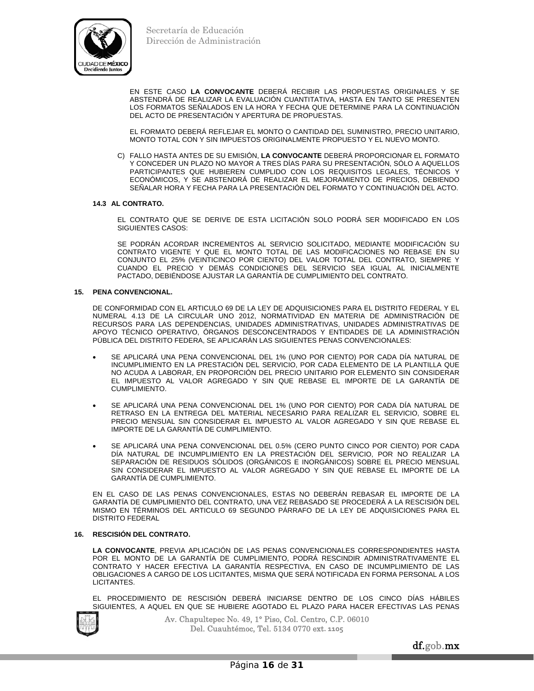

 EN ESTE CASO **LA CONVOCANTE** DEBERÁ RECIBIR LAS PROPUESTAS ORIGINALES Y SE ABSTENDRÁ DE REALIZAR LA EVALUACIÓN CUANTITATIVA, HASTA EN TANTO SE PRESENTEN LOS FORMATOS SEÑALADOS EN LA HORA Y FECHA QUE DETERMINE PARA LA CONTINUACIÓN DEL ACTO DE PRESENTACIÓN Y APERTURA DE PROPUESTAS.

 EL FORMATO DEBERÁ REFLEJAR EL MONTO O CANTIDAD DEL SUMINISTRO, PRECIO UNITARIO, MONTO TOTAL CON Y SIN IMPUESTOS ORIGINALMENTE PROPUESTO Y EL NUEVO MONTO.

C) FALLO HASTA ANTES DE SU EMISIÓN, **LA CONVOCANTE** DEBERÁ PROPORCIONAR EL FORMATO Y CONCEDER UN PLAZO NO MAYOR A TRES DÍAS PARA SU PRESENTACIÓN, SÓLO A AQUELLOS PARTICIPANTES QUE HUBIEREN CUMPLIDO CON LOS REQUISITOS LEGALES, TÉCNICOS Y ECONÓMICOS, Y SE ABSTENDRÁ DE REALIZAR EL MEJORAMIENTO DE PRECIOS, DEBIENDO SEÑALAR HORA Y FECHA PARA LA PRESENTACIÓN DEL FORMATO Y CONTINUACIÓN DEL ACTO.

## **14.3 AL CONTRATO.**

 EL CONTRATO QUE SE DERIVE DE ESTA LICITACIÓN SOLO PODRÁ SER MODIFICADO EN LOS SIGUIENTES CASOS:

 SE PODRÁN ACORDAR INCREMENTOS AL SERVICIO SOLICITADO, MEDIANTE MODIFICACIÓN SU CONTRATO VIGENTE Y QUE EL MONTO TOTAL DE LAS MODIFICACIONES NO REBASE EN SU CONJUNTO EL 25% (VEINTICINCO POR CIENTO) DEL VALOR TOTAL DEL CONTRATO, SIEMPRE Y CUANDO EL PRECIO Y DEMÁS CONDICIONES DEL SERVICIO SEA IGUAL AL INICIALMENTE PACTADO, DEBIÉNDOSE AJUSTAR LA GARANTÍA DE CUMPLIMIENTO DEL CONTRATO.

## **15. PENA CONVENCIONAL.**

DE CONFORMIDAD CON EL ARTICULO 69 DE LA LEY DE ADQUISICIONES PARA EL DISTRITO FEDERAL Y EL NUMERAL 4.13 DE LA CIRCULAR UNO 2012, NORMATIVIDAD EN MATERIA DE ADMINISTRACIÓN DE RECURSOS PARA LAS DEPENDENCIAS, UNIDADES ADMINISTRATIVAS, UNIDADES ADMINISTRATIVAS DE APOYO TÉCNICO OPERATIVO, ÓRGANOS DESCONCENTRADOS Y ENTIDADES DE LA ADMINISTRACIÓN PÚBLICA DEL DISTRITO FEDERA, SE APLICARÁN LAS SIGUIENTES PENAS CONVENCIONALES:

- SE APLICARÁ UNA PENA CONVENCIONAL DEL 1% (UNO POR CIENTO) POR CADA DÍA NATURAL DE INCUMPLIMIENTO EN LA PRESTACIÓN DEL SERVICIO, POR CADA ELEMENTO DE LA PLANTILLA QUE NO ACUDA A LABORAR, EN PROPORCIÓN DEL PRECIO UNITARIO POR ELEMENTO SIN CONSIDERAR EL IMPUESTO AL VALOR AGREGADO Y SIN QUE REBASE EL IMPORTE DE LA GARANTÍA DE CUMPLIMIENTO.
- SE APLICARÁ UNA PENA CONVENCIONAL DEL 1% (UNO POR CIENTO) POR CADA DÍA NATURAL DE RETRASO EN LA ENTREGA DEL MATERIAL NECESARIO PARA REALIZAR EL SERVICIO, SOBRE EL PRECIO MENSUAL SIN CONSIDERAR EL IMPUESTO AL VALOR AGREGADO Y SIN QUE REBASE EL IMPORTE DE LA GARANTÍA DE CUMPLIMIENTO.
- SE APLICARÁ UNA PENA CONVENCIONAL DEL 0.5% (CERO PUNTO CINCO POR CIENTO) POR CADA DÍA NATURAL DE INCUMPLIMIENTO EN LA PRESTACIÓN DEL SERVICIO, POR NO REALIZAR LA SEPARACIÓN DE RESIDUOS SÓLIDOS (ORGÁNICOS E INORGÁNICOS) SOBRE EL PRECIO MENSUAL SIN CONSIDERAR EL IMPUESTO AL VALOR AGREGADO Y SIN QUE REBASE EL IMPORTE DE LA GARANTÍA DE CUMPLIMIENTO.

EN EL CASO DE LAS PENAS CONVENCIONALES, ESTAS NO DEBERÁN REBASAR EL IMPORTE DE LA GARANTÍA DE CUMPLIMIENTO DEL CONTRATO, UNA VEZ REBASADO SE PROCEDERÁ A LA RESCISIÓN DEL MISMO EN TÉRMINOS DEL ARTICULO 69 SEGUNDO PÁRRAFO DE LA LEY DE ADQUISICIONES PARA EL DISTRITO FEDERAL

## **16. RESCISIÓN DEL CONTRATO.**

**LA CONVOCANTE**, PREVIA APLICACIÓN DE LAS PENAS CONVENCIONALES CORRESPONDIENTES HASTA POR EL MONTO DE LA GARANTÍA DE CUMPLIMIENTO, PODRÁ RESCINDIR ADMINISTRATIVAMENTE EL CONTRATO Y HACER EFECTIVA LA GARANTÍA RESPECTIVA, EN CASO DE INCUMPLIMIENTO DE LAS OBLIGACIONES A CARGO DE LOS LICITANTES, MISMA QUE SERÁ NOTIFICADA EN FORMA PERSONAL A LOS LICITANTES.

EL PROCEDIMIENTO DE RESCISIÓN DEBERÁ INICIARSE DENTRO DE LOS CINCO DÍAS HÁBILES SIGUIENTES, A AQUEL EN QUE SE HUBIERE AGOTADO EL PLAZO PARA HACER EFECTIVAS LAS PENAS



Av. Chapultepec No. 49, 1° Piso, Col. Centro, C.P. 06010 Del. Cuauhtémoc, Tel. 5134 0770 ext**. 1105**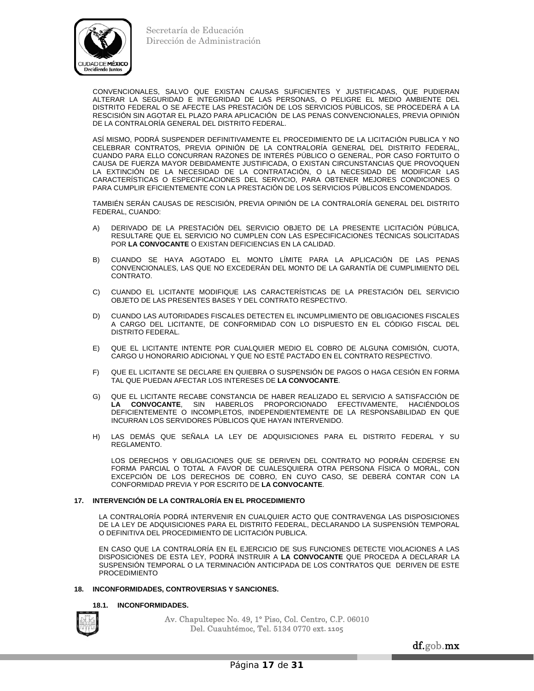

CONVENCIONALES, SALVO QUE EXISTAN CAUSAS SUFICIENTES Y JUSTIFICADAS, QUE PUDIERAN ALTERAR LA SEGURIDAD E INTEGRIDAD DE LAS PERSONAS, O PELIGRE EL MEDIO AMBIENTE DEL DISTRITO FEDERAL O SE AFECTE LAS PRESTACIÓN DE LOS SERVICIOS PÚBLICOS, SE PROCEDERÁ A LA RESCISIÓN SIN AGOTAR EL PLAZO PARA APLICACIÓN DE LAS PENAS CONVENCIONALES, PREVIA OPINIÓN DE LA CONTRALORÍA GENERAL DEL DISTRITO FEDERAL.

ASÍ MISMO, PODRÁ SUSPENDER DEFINITIVAMENTE EL PROCEDIMIENTO DE LA LICITACIÓN PUBLICA Y NO CELEBRAR CONTRATOS, PREVIA OPINIÓN DE LA CONTRALORÍA GENERAL DEL DISTRITO FEDERAL, CUANDO PARA ELLO CONCURRAN RAZONES DE INTERÉS PÚBLICO O GENERAL, POR CASO FORTUITO O CAUSA DE FUERZA MAYOR DEBIDAMENTE JUSTIFICADA, O EXISTAN CIRCUNSTANCIAS QUE PROVOQUEN LA EXTINCIÓN DE LA NECESIDAD DE LA CONTRATACIÓN, O LA NECESIDAD DE MODIFICAR LAS CARACTERÍSTICAS O ESPECIFICACIONES DEL SERVICIO, PARA OBTENER MEJORES CONDICIONES O PARA CUMPLIR EFICIENTEMENTE CON LA PRESTACIÓN DE LOS SERVICIOS PÚBLICOS ENCOMENDADOS.

TAMBIÉN SERÁN CAUSAS DE RESCISIÓN, PREVIA OPINIÓN DE LA CONTRALORÍA GENERAL DEL DISTRITO FEDERAL, CUANDO:

- A) DERIVADO DE LA PRESTACIÓN DEL SERVICIO OBJETO DE LA PRESENTE LICITACIÓN PÚBLICA, RESULTARE QUE EL SERVICIO NO CUMPLEN CON LAS ESPECIFICACIONES TÉCNICAS SOLICITADAS POR **LA CONVOCANTE** O EXISTAN DEFICIENCIAS EN LA CALIDAD.
- B) CUANDO SE HAYA AGOTADO EL MONTO LÍMITE PARA LA APLICACIÓN DE LAS PENAS CONVENCIONALES, LAS QUE NO EXCEDERÁN DEL MONTO DE LA GARANTÍA DE CUMPLIMIENTO DEL CONTRATO.
- C) CUANDO EL LICITANTE MODIFIQUE LAS CARACTERÍSTICAS DE LA PRESTACIÓN DEL SERVICIO OBJETO DE LAS PRESENTES BASES Y DEL CONTRATO RESPECTIVO.
- D) CUANDO LAS AUTORIDADES FISCALES DETECTEN EL INCUMPLIMIENTO DE OBLIGACIONES FISCALES A CARGO DEL LICITANTE, DE CONFORMIDAD CON LO DISPUESTO EN EL CÓDIGO FISCAL DEL DISTRITO FEDERAL.
- E) QUE EL LICITANTE INTENTE POR CUALQUIER MEDIO EL COBRO DE ALGUNA COMISIÓN, CUOTA, CARGO U HONORARIO ADICIONAL Y QUE NO ESTÉ PACTADO EN EL CONTRATO RESPECTIVO.
- F) QUE EL LICITANTE SE DECLARE EN QUIEBRA O SUSPENSIÓN DE PAGOS O HAGA CESIÓN EN FORMA TAL QUE PUEDAN AFECTAR LOS INTERESES DE **LA CONVOCANTE**.
- G) QUE EL LICITANTE RECABE CONSTANCIA DE HABER REALIZADO EL SERVICIO A SATISFACCIÓN DE **LA CONVOCANTE**, SIN HABERLOS PROPORCIONADO EFECTIVAMENTE, HACIÉNDOLOS DEFICIENTEMENTE O INCOMPLETOS, INDEPENDIENTEMENTE DE LA RESPONSABILIDAD EN QUE INCURRAN LOS SERVIDORES PÚBLICOS QUE HAYAN INTERVENIDO.
- H) LAS DEMÁS QUE SEÑALA LA LEY DE ADQUISICIONES PARA EL DISTRITO FEDERAL Y SU REGLAMENTO.

 LOS DERECHOS Y OBLIGACIONES QUE SE DERIVEN DEL CONTRATO NO PODRÁN CEDERSE EN FORMA PARCIAL O TOTAL A FAVOR DE CUALESQUIERA OTRA PERSONA FÍSICA O MORAL, CON EXCEPCIÓN DE LOS DERECHOS DE COBRO, EN CUYO CASO, SE DEBERÁ CONTAR CON LA CONFORMIDAD PREVIA Y POR ESCRITO DE **LA CONVOCANTE**.

## **17. INTERVENCIÓN DE LA CONTRALORÍA EN EL PROCEDIMIENTO**

 LA CONTRALORÍA PODRÁ INTERVENIR EN CUALQUIER ACTO QUE CONTRAVENGA LAS DISPOSICIONES DE LA LEY DE ADQUISICIONES PARA EL DISTRITO FEDERAL, DECLARANDO LA SUSPENSIÓN TEMPORAL O DEFINITIVA DEL PROCEDIMIENTO DE LICITACIÓN PUBLICA.

 EN CASO QUE LA CONTRALORÍA EN EL EJERCICIO DE SUS FUNCIONES DETECTE VIOLACIONES A LAS DISPOSICIONES DE ESTA LEY, PODRÁ INSTRUIR A **LA CONVOCANTE** QUE PROCEDA A DECLARAR LA SUSPENSIÓN TEMPORAL O LA TERMINACIÓN ANTICIPADA DE LOS CONTRATOS QUE DERIVEN DE ESTE PROCEDIMIENTO

## **18. INCONFORMIDADES, CONTROVERSIAS Y SANCIONES.**

## **18.1. INCONFORMIDADES.**

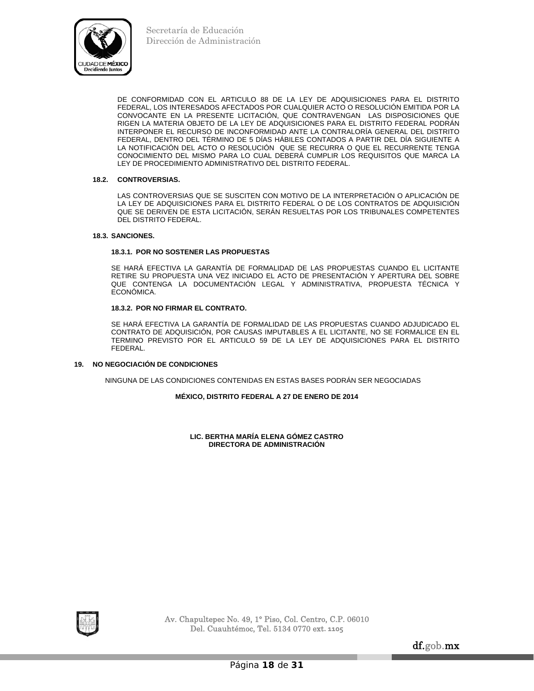

DE CONFORMIDAD CON EL ARTICULO 88 DE LA LEY DE ADQUISICIONES PARA EL DISTRITO FEDERAL, LOS INTERESADOS AFECTADOS POR CUALQUIER ACTO O RESOLUCIÓN EMITIDA POR LA CONVOCANTE EN LA PRESENTE LICITACIÓN, QUE CONTRAVENGAN LAS DISPOSICIONES QUE RIGEN LA MATERIA OBJETO DE LA LEY DE ADQUISICIONES PARA EL DISTRITO FEDERAL PODRÁN INTERPONER EL RECURSO DE INCONFORMIDAD ANTE LA CONTRALORÍA GENERAL DEL DISTRITO FEDERAL, DENTRO DEL TÉRMINO DE 5 DÍAS HÁBILES CONTADOS A PARTIR DEL DÍA SIGUIENTE A LA NOTIFICACIÓN DEL ACTO O RESOLUCIÓN QUE SE RECURRA O QUE EL RECURRENTE TENGA CONOCIMIENTO DEL MISMO PARA LO CUAL DEBERÁ CUMPLIR LOS REQUISITOS QUE MARCA LA LEY DE PROCEDIMIENTO ADMINISTRATIVO DEL DISTRITO FEDERAL.

## **18.2. CONTROVERSIAS.**

 LAS CONTROVERSIAS QUE SE SUSCITEN CON MOTIVO DE LA INTERPRETACIÓN O APLICACIÓN DE LA LEY DE ADQUISICIONES PARA EL DISTRITO FEDERAL O DE LOS CONTRATOS DE ADQUISICIÓN QUE SE DERIVEN DE ESTA LICITACIÓN, SERÁN RESUELTAS POR LOS TRIBUNALES COMPETENTES DEL DISTRITO FEDERAL.

## **18.3. SANCIONES.**

## **18.3.1. POR NO SOSTENER LAS PROPUESTAS**

 SE HARÁ EFECTIVA LA GARANTÍA DE FORMALIDAD DE LAS PROPUESTAS CUANDO EL LICITANTE RETIRE SU PROPUESTA UNA VEZ INICIADO EL ACTO DE PRESENTACIÓN Y APERTURA DEL SOBRE QUE CONTENGA LA DOCUMENTACIÓN LEGAL Y ADMINISTRATIVA, PROPUESTA TÉCNICA Y ECONÓMICA.

## **18.3.2. POR NO FIRMAR EL CONTRATO.**

 SE HARÁ EFECTIVA LA GARANTÍA DE FORMALIDAD DE LAS PROPUESTAS CUANDO ADJUDICADO EL CONTRATO DE ADQUISICIÓN, POR CAUSAS IMPUTABLES A EL LICITANTE, NO SE FORMALICE EN EL TERMINO PREVISTO POR EL ARTICULO 59 DE LA LEY DE ADQUISICIONES PARA EL DISTRITO FEDERAL.

## **19. NO NEGOCIACIÓN DE CONDICIONES**

NINGUNA DE LAS CONDICIONES CONTENIDAS EN ESTAS BASES PODRÁN SER NEGOCIADAS

## **MÉXICO, DISTRITO FEDERAL A 27 DE ENERO DE 2014**

**LIC. BERTHA MARÍA ELENA GÓMEZ CASTRO DIRECTORA DE ADMINISTRACIÓN** 

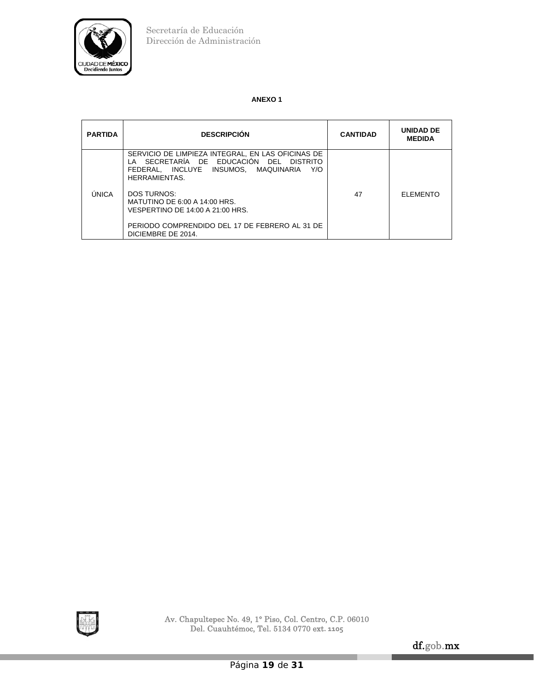

# **ANEXO 1**

| <b>PARTIDA</b> | <b>DESCRIPCIÓN</b>                                                                                                                                           | <b>CANTIDAD</b> | <b>UNIDAD DE</b><br><b>MEDIDA</b> |
|----------------|--------------------------------------------------------------------------------------------------------------------------------------------------------------|-----------------|-----------------------------------|
|                | SERVICIO DE LIMPIEZA INTEGRAL, EN LAS OFICINAS DE<br>LA SECRETARÍA DE EDUCACIÓN DEL DISTRITO<br>FEDERAL. INCLUYE INSUMOS. MAQUINARIA<br>Y/O<br>HERRAMIENTAS. |                 |                                   |
| ÚNICA          | <b>DOS TURNOS:</b><br>MATUTINO DE 6:00 A 14:00 HRS.<br>VESPERTINO DE 14:00 A 21:00 HRS.                                                                      | 47              | <b>ELEMENTO</b>                   |
|                | PERIODO COMPRENDIDO DEL 17 DE FEBRERO AL 31 DE<br>DICIEMBRE DE 2014.                                                                                         |                 |                                   |

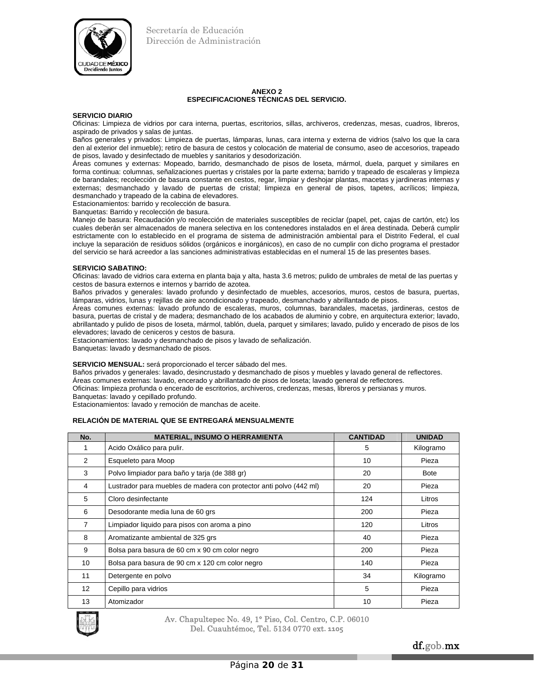

#### **ANEXO 2 ESPECIFICACIONES TÉCNICAS DEL SERVICIO.**

#### **SERVICIO DIARIO**

Oficinas: Limpieza de vidrios por cara interna, puertas, escritorios, sillas, archiveros, credenzas, mesas, cuadros, libreros, aspirado de privados y salas de juntas.

Baños generales y privados: Limpieza de puertas, lámparas, lunas, cara interna y externa de vidrios (salvo los que la cara den al exterior del inmueble); retiro de basura de cestos y colocación de material de consumo, aseo de accesorios, trapeado de pisos, lavado y desinfectado de muebles y sanitarios y desodorización.

Áreas comunes y externas: Mopeado, barrido, desmanchado de pisos de loseta, mármol, duela, parquet y similares en forma continua: columnas, señalizaciones puertas y cristales por la parte externa; barrido y trapeado de escaleras y limpieza de barandales; recolección de basura constante en cestos, regar, limpiar y deshojar plantas, macetas y jardineras internas y externas; desmanchado y lavado de puertas de cristal; limpieza en general de pisos, tapetes, acrílicos; limpieza, desmanchado y trapeado de la cabina de elevadores.

Estacionamientos: barrido y recolección de basura.

Banquetas: Barrido y recolección de basura.

Manejo de basura: Recaudación y/o recolección de materiales susceptibles de reciclar (papel, pet, cajas de cartón, etc) los cuales deberán ser almacenados de manera selectiva en los contenedores instalados en el área destinada. Deberá cumplir estrictamente con lo establecido en el programa de sistema de administración ambiental para el Distrito Federal, el cual incluye la separación de residuos sólidos (orgánicos e inorgánicos), en caso de no cumplir con dicho programa el prestador del servicio se hará acreedor a las sanciones administrativas establecidas en el numeral 15 de las presentes bases.

#### **SERVICIO SABATINO:**

Oficinas: lavado de vidrios cara externa en planta baja y alta, hasta 3.6 metros; pulido de umbrales de metal de las puertas y cestos de basura externos e internos y barrido de azotea.

Baños privados y generales: lavado profundo y desinfectado de muebles, accesorios, muros, cestos de basura, puertas, lámparas, vidrios, lunas y rejillas de aire acondicionado y trapeado, desmanchado y abrillantado de pisos.

Áreas comunes externas: lavado profundo de escaleras, muros, columnas, barandales, macetas, jardineras, cestos de basura, puertas de cristal y de madera; desmanchado de los acabados de aluminio y cobre, en arquitectura exterior; lavado, abrillantado y pulido de pisos de loseta, mármol, tablón, duela, parquet y similares; lavado, pulido y encerado de pisos de los elevadores; lavado de ceniceros y cestos de basura.

Estacionamientos: lavado y desmanchado de pisos y lavado de señalización.

Banquetas: lavado y desmanchado de pisos.

#### **SERVICIO MENSUAL:** será proporcionado el tercer sábado del mes.

Baños privados y generales: lavado, desincrustado y desmanchado de pisos y muebles y lavado general de reflectores. Áreas comunes externas: lavado, encerado y abrillantado de pisos de loseta; lavado general de reflectores.

Oficinas: limpieza profunda o encerado de escritorios, archiveros, credenzas, mesas, libreros y persianas y muros. Banquetas: lavado y cepillado profundo.

Estacionamientos: lavado y remoción de manchas de aceite.

## **RELACIÓN DE MATERIAL QUE SE ENTREGARÁ MENSUALMENTE**

| No.             | <b>MATERIAL, INSUMO O HERRAMIENTA</b>                              | <b>CANTIDAD</b> | <b>UNIDAD</b> |
|-----------------|--------------------------------------------------------------------|-----------------|---------------|
|                 | Acido Oxálico para pulir.                                          | 5               | Kilogramo     |
| 2               | Esqueleto para Moop                                                | 10              | Pieza         |
| 3               | Polvo limpiador para baño y tarja (de 388 gr)                      | 20              | <b>Bote</b>   |
| 4               | Lustrador para muebles de madera con protector anti polvo (442 ml) | 20              | Pieza         |
| 5               | Cloro desinfectante                                                | 124             | Litros        |
| 6               | Desodorante media luna de 60 grs                                   | 200             | Pieza         |
| 7               | Limpiador liquido para pisos con aroma a pino                      | 120             | Litros        |
| 8               | Aromatizante ambiental de 325 grs                                  | 40              | Pieza         |
| 9               | Bolsa para basura de 60 cm x 90 cm color negro                     | 200             | Pieza         |
| 10              | Bolsa para basura de 90 cm x 120 cm color negro                    | 140             | Pieza         |
| 11              | Detergente en polvo                                                | 34              | Kilogramo     |
| 12 <sup>2</sup> | Cepillo para vidrios                                               | 5               | Pieza         |
| 13              | Atomizador                                                         | 10              | Pieza         |



Av. Chapultepec No. 49, 1° Piso, Col. Centro, C.P. 06010 Del. Cuauhtémoc, Tel. 5134 0770 ext**. 1105**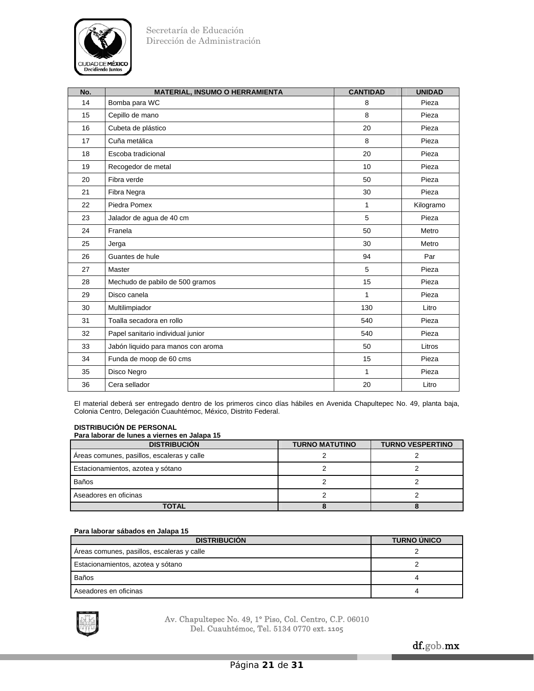

| No. | <b>MATERIAL, INSUMO O HERRAMIENTA</b> | <b>CANTIDAD</b> | <b>UNIDAD</b> |
|-----|---------------------------------------|-----------------|---------------|
| 14  | Bomba para WC                         | 8               | Pieza         |
| 15  | Cepillo de mano                       | 8               | Pieza         |
| 16  | Cubeta de plástico                    | 20              | Pieza         |
| 17  | Cuña metálica                         | 8               | Pieza         |
| 18  | Escoba tradicional                    | 20              | Pieza         |
| 19  | Recogedor de metal                    | 10              | Pieza         |
| 20  | Fibra verde                           | 50              | Pieza         |
| 21  | Fibra Negra                           | 30              | Pieza         |
| 22  | Piedra Pomex                          | $\mathbf{1}$    | Kilogramo     |
| 23  | Jalador de agua de 40 cm              | 5               | Pieza         |
| 24  | Franela                               | 50              | Metro         |
| 25  | Jerga                                 | 30              | Metro         |
| 26  | Guantes de hule                       | 94              | Par           |
| 27  | Master                                | 5               | Pieza         |
| 28  | Mechudo de pabilo de 500 gramos       | 15              | Pieza         |
| 29  | Disco canela                          | $\mathbf{1}$    | Pieza         |
| 30  | Multilimpiador                        | 130             | Litro         |
| 31  | Toalla secadora en rollo              | 540             | Pieza         |
| 32  | Papel sanitario individual junior     | 540             | Pieza         |
| 33  | Jabón liquido para manos con aroma    | 50              | Litros        |
| 34  | Funda de moop de 60 cms               | 15              | Pieza         |
| 35  | Disco Negro                           | $\mathbf{1}$    | Pieza         |
| 36  | Cera sellador                         | 20              | Litro         |

El material deberá ser entregado dentro de los primeros cinco días hábiles en Avenida Chapultepec No. 49, planta baja, Colonia Centro, Delegación Cuauhtémoc, México, Distrito Federal.

## **DISTRIBUCIÓN DE PERSONAL**

## **Para laborar de lunes a viernes en Jalapa 15**

| <b>DISTRIBUCIÓN</b>                        | <b>TURNO MATUTINO</b> | <b>TURNO VESPERTINO</b> |
|--------------------------------------------|-----------------------|-------------------------|
| Areas comunes, pasillos, escaleras y calle |                       |                         |
| Estacionamientos, azotea y sótano          |                       |                         |
| Baños                                      |                       |                         |
| Aseadores en oficinas                      |                       |                         |
| TOTAL                                      |                       |                         |

## **Para laborar sábados en Jalapa 15**

| <b>DISTRIBUCIÓN</b>                        | <b>TURNO ÚNICO</b> |
|--------------------------------------------|--------------------|
| Areas comunes, pasillos, escaleras y calle |                    |
| Estacionamientos, azotea y sótano          |                    |
| <b>Baños</b>                               | 4                  |
| Aseadores en oficinas                      | 4                  |

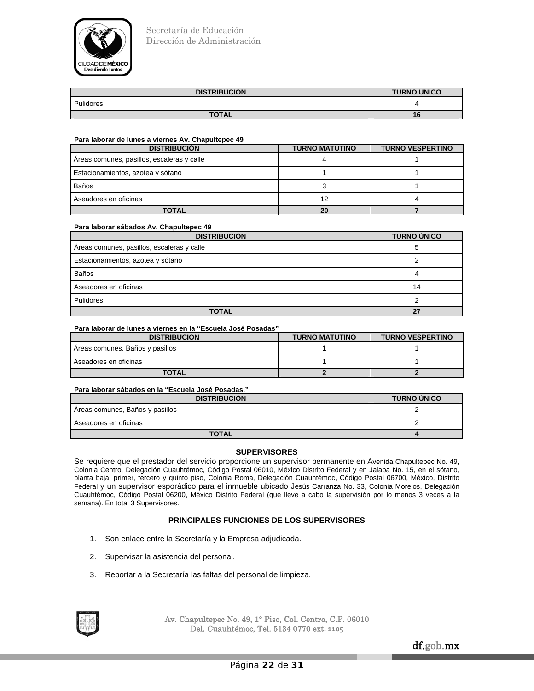

| <b>DISTRIBUCIÓN</b> | <b>TURNO ÚNICO</b> |
|---------------------|--------------------|
| Pulidores           |                    |
| <b>TOTAL</b>        | 16                 |

## **Para laborar de lunes a viernes Av. Chapultepec 49**

| <b>DISTRIBUCIÓN</b>                        | <b>TURNO MATUTINO</b> | <b>TURNO VESPERTINO</b> |
|--------------------------------------------|-----------------------|-------------------------|
| Areas comunes, pasillos, escaleras y calle |                       |                         |
| Estacionamientos, azotea y sótano          |                       |                         |
| Baños                                      |                       |                         |
| Aseadores en oficinas                      | 12                    |                         |
| TOTAL                                      | 20                    |                         |

## **Para laborar sábados Av. Chapultepec 49**

| <b>DISTRIBUCIÓN</b>                        | <b>TURNO ÚNICO</b> |
|--------------------------------------------|--------------------|
| Areas comunes, pasillos, escaleras y calle | 5                  |
| Estacionamientos, azotea y sótano          |                    |
| <b>Baños</b>                               | 4                  |
| Aseadores en oficinas                      | 14                 |
| Pulidores                                  |                    |
| <b>TOTAL</b>                               | 27                 |

## **Para laborar de lunes a viernes en la "Escuela José Posadas"**

| <b>DISTRIBUCION</b>             | <b>TURNO MATUTINO</b> | <b>TURNO VESPERTINO</b> |
|---------------------------------|-----------------------|-------------------------|
| Areas comunes, Baños y pasillos |                       |                         |
| Aseadores en oficinas           |                       |                         |
| <b>TOTAL</b>                    |                       |                         |

# **Para laborar sábados en la "Escuela José Posadas."**

| <b>DISTRIBUCION</b>             | <b>TURNO UNICO</b> |
|---------------------------------|--------------------|
| Areas comunes, Baños y pasillos |                    |
| Aseadores en oficinas           |                    |
| <b>TOTAL</b>                    |                    |

## **SUPERVISORES**

Se requiere que el prestador del servicio proporcione un supervisor permanente en Avenida Chapultepec No. 49, Colonia Centro, Delegación Cuauhtémoc, Código Postal 06010, México Distrito Federal y en Jalapa No. 15, en el sótano, planta baja, primer, tercero y quinto piso, Colonia Roma, Delegación Cuauhtémoc, Código Postal 06700, México, Distrito Federal y un supervisor esporádico para el inmueble ubicado Jesús Carranza No. 33, Colonia Morelos, Delegación Cuauhtémoc, Código Postal 06200, México Distrito Federal (que lleve a cabo la supervisión por lo menos 3 veces a la semana). En total 3 Supervisores.

## **PRINCIPALES FUNCIONES DE LOS SUPERVISORES**

- 1. Son enlace entre la Secretaría y la Empresa adjudicada.
- 2. Supervisar la asistencia del personal.
- 3. Reportar a la Secretaría las faltas del personal de limpieza.

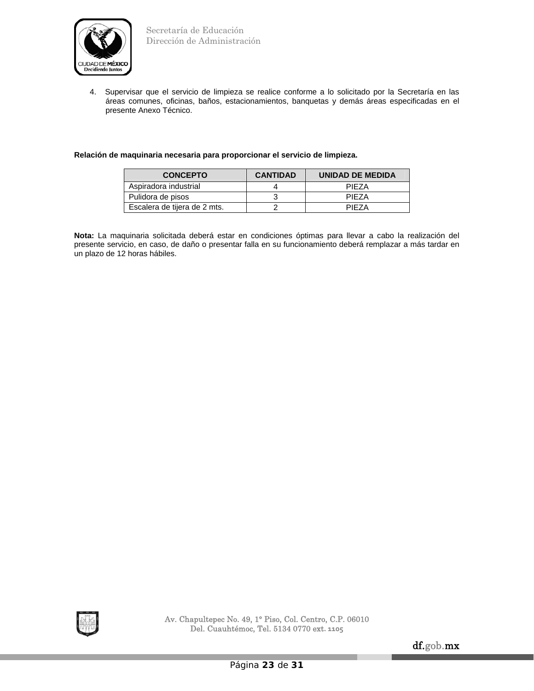

4. Supervisar que el servicio de limpieza se realice conforme a lo solicitado por la Secretaría en las áreas comunes, oficinas, baños, estacionamientos, banquetas y demás áreas especificadas en el presente Anexo Técnico.

# **Relación de maquinaria necesaria para proporcionar el servicio de limpieza.**

| <b>CONCEPTO</b>              | <b>CANTIDAD</b> | UNIDAD DE MEDIDA |
|------------------------------|-----------------|------------------|
| Aspiradora industrial        |                 | PIF7A            |
| Pulidora de pisos            |                 | PIF7A            |
| Escalera de tijera de 2 mts. |                 | PIF7A            |

**Nota:** La maquinaria solicitada deberá estar en condiciones óptimas para llevar a cabo la realización del presente servicio, en caso, de daño o presentar falla en su funcionamiento deberá remplazar a más tardar en un plazo de 12 horas hábiles.

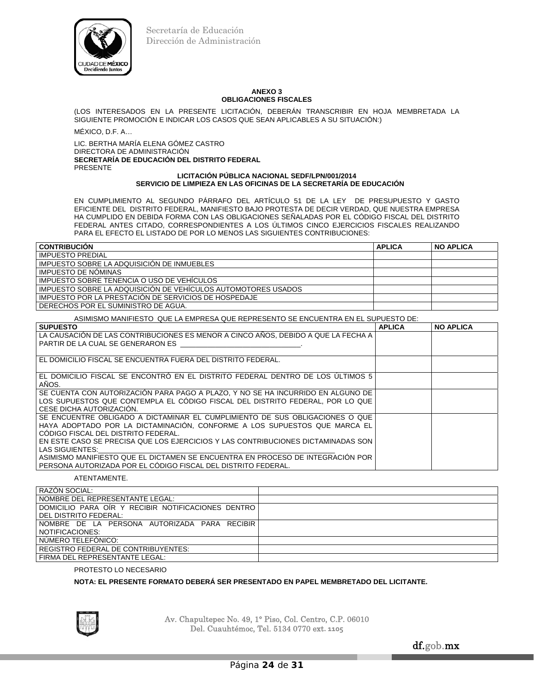

#### **ANEXO 3 OBLIGACIONES FISCALES**

(LOS INTERESADOS EN LA PRESENTE LICITACIÓN, DEBERÁN TRANSCRIBIR EN HOJA MEMBRETADA LA SIGUIENTE PROMOCIÓN E INDICAR LOS CASOS QUE SEAN APLICABLES A SU SITUACIÓN:)

MÉXICO, D.F. A…

LIC. BERTHA MARÍA ELENA GÓMEZ CASTRO DIRECTORA DE ADMINISTRACIÓN **SECRETARÍA DE EDUCACIÓN DEL DISTRITO FEDERAL**  PRESENTE

#### **LICITACIÓN PÚBLICA NACIONAL SEDF/LPN/001/2014 SERVICIO DE LIMPIEZA EN LAS OFICINAS DE LA SECRETARÍA DE EDUCACIÓN**

EN CUMPLIMIENTO AL SEGUNDO PÁRRAFO DEL ARTÍCULO 51 DE LA LEY DE PRESUPUESTO Y GASTO EFICIENTE DEL DISTRITO FEDERAL, MANIFIESTO BAJO PROTESTA DE DECIR VERDAD, QUE NUESTRA EMPRESA HA CUMPLIDO EN DEBIDA FORMA CON LAS OBLIGACIONES SEÑALADAS POR EL CÓDIGO FISCAL DEL DISTRITO FEDERAL ANTES CITADO, CORRESPONDIENTES A LOS ÚLTIMOS CINCO EJERCICIOS FISCALES REALIZANDO PARA EL EFECTO EL LISTADO DE POR LO MENOS LAS SIGUIENTES CONTRIBUCIONES:

| <b>CONTRIBUCION</b>                                           | <b>APLICA</b> | <b>NO APLICA</b> |
|---------------------------------------------------------------|---------------|------------------|
| <b>IMPUESTO PREDIAL</b>                                       |               |                  |
| IMPUESTO SOBRE LA ADQUISICIÓN DE INMUEBLES                    |               |                  |
| <b>IMPUESTO DE NOMINAS</b>                                    |               |                  |
| IMPUESTO SOBRE TENENCIA O USO DE VEHÍCULOS                    |               |                  |
| IMPUESTO SOBRE LA ADQUISICIÓN DE VEHÍCULOS AUTOMOTORES USADOS |               |                  |
| IMPUESTO POR LA PRESTACIÓN DE SERVICIOS DE HOSPEDAJE          |               |                  |
| DERECHOS POR EL SUMINISTRO DE AGUA.                           |               |                  |

## ASIMISMO MANIFIESTO QUE LA EMPRESA QUE REPRESENTO SE ENCUENTRA EN EL SUPUESTO DE:

| <b>SUPUESTO</b>                                                                    | <b>APLICA</b> | <b>NO APLICA</b> |
|------------------------------------------------------------------------------------|---------------|------------------|
| LLA CAUSACIÓN DE LAS CONTRIBUCIONES ES MENOR A CINCO AÑOS. DEBIDO A QUE LA FECHA A |               |                  |
| l PARTIR DE LA CUAL SE GENERARON ES                                                |               |                  |
|                                                                                    |               |                  |
| l EL DOMICILIO FISCAL SE ENCUENTRA FUERA DEL DISTRITO FEDERAL.                     |               |                  |
|                                                                                    |               |                  |
| l EL DOMICILIO FISCAL SE ENCONTRÓ EN EL DISTRITO FEDERAL DENTRO DE LOS ÚLTIMOS 5   |               |                  |
| AÑOS.                                                                              |               |                  |
| SE CUENTA CON AUTORIZACIÓN PARA PAGO A PLAZO, Y NO SE HA INCURRIDO EN ALGUNO DE    |               |                  |
| LLOS SUPUESTOS QUE CONTEMPLA EL CÓDIGO FISCAL DEL DISTRITO FEDERAL. POR LO QUE     |               |                  |
| I CESE DICHA AUTORIZACION.                                                         |               |                  |
| I SE ENCUENTRE OBLIGADO A DICTAMINAR EL CUMPLIMIENTO DE SUS OBLIGACIONES O QUE     |               |                  |
| HAYA ADOPTADO POR LA DICTAMINACIÓN, CONFORME A LOS SUPUESTOS QUE MARCA EL          |               |                  |
| CÓDIGO FISCAL DEL DISTRITO FEDERAL.                                                |               |                  |
| I EN ESTE CASO SE PRECISA QUE LOS EJERCICIOS Y LAS CONTRIBUCIONES DICTAMINADAS SON |               |                  |
| LAS SIGUIENTES:                                                                    |               |                  |
| ASIMISMO MANIFIESTO QUE EL DICTAMEN SE ENCUENTRA EN PROCESO DE INTEGRACIÓN POR     |               |                  |
| l PERSONA AUTORIZADA POR EL CÓDIGO FISCAL DEL DISTRITO FEDERAL.                    |               |                  |

## ATENTAMENTE.

| RAZÓN SOCIAL:                                      |  |
|----------------------------------------------------|--|
| NOMBRE DEL REPRESENTANTE LEGAL:                    |  |
| DOMICILIO PARA OIR Y RECIBIR NOTIFICACIONES DENTRO |  |
| l DEL DISTRITO FEDERAL:                            |  |
| NOMBRE DE LA PERSONA AUTORIZADA PARA RECIBIR       |  |
| NOTIFICACIONES:                                    |  |
| NÚMERO TELEFÓNICO:                                 |  |
| <b>REGISTRO FEDERAL DE CONTRIBUYENTES:</b>         |  |
| FIRMA DEL REPRESENTANTE LEGAL:                     |  |

## PROTESTO LO NECESARIO

## **NOTA: EL PRESENTE FORMATO DEBERÁ SER PRESENTADO EN PAPEL MEMBRETADO DEL LICITANTE.**

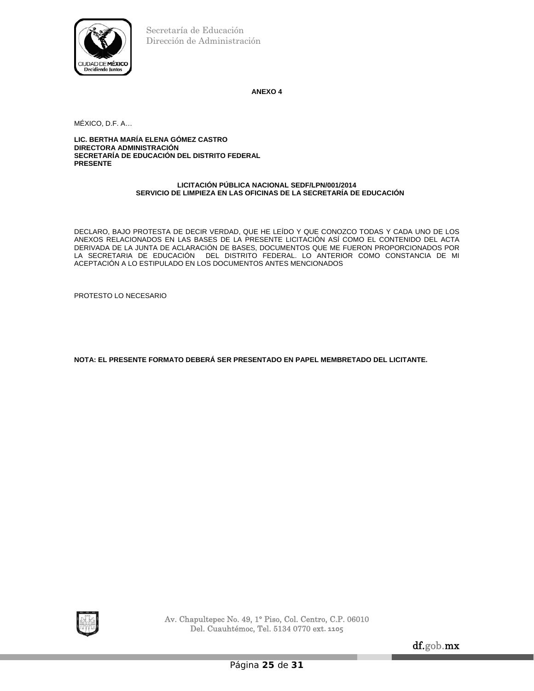

**ANEXO 4** 

MÉXICO, D.F. A…

**LIC. BERTHA MARÍA ELENA GÓMEZ CASTRO DIRECTORA ADMINISTRACIÓN SECRETARÍA DE EDUCACIÓN DEL DISTRITO FEDERAL PRESENTE**

## **LICITACIÓN PÚBLICA NACIONAL SEDF/LPN/001/2014 SERVICIO DE LIMPIEZA EN LAS OFICINAS DE LA SECRETARÍA DE EDUCACIÓN**

DECLARO, BAJO PROTESTA DE DECIR VERDAD, QUE HE LEÍDO Y QUE CONOZCO TODAS Y CADA UNO DE LOS ANEXOS RELACIONADOS EN LAS BASES DE LA PRESENTE LICITACIÓN ASÍ COMO EL CONTENIDO DEL ACTA DERIVADA DE LA JUNTA DE ACLARACIÓN DE BASES, DOCUMENTOS QUE ME FUERON PROPORCIONADOS POR LA SECRETARIA DE EDUCACIÓN DEL DISTRITO FEDERAL. LO ANTERIOR COMO CONSTANCIA DE MI ACEPTACIÓN A LO ESTIPULADO EN LOS DOCUMENTOS ANTES MENCIONADOS

PROTESTO LO NECESARIO

**NOTA: EL PRESENTE FORMATO DEBERÁ SER PRESENTADO EN PAPEL MEMBRETADO DEL LICITANTE.** 



Av. Chapultepec No. 49, 1° Piso, Col. Centro, C.P. 06010 Del. Cuauhtémoc, Tel. 5134 0770 ext**. 1105**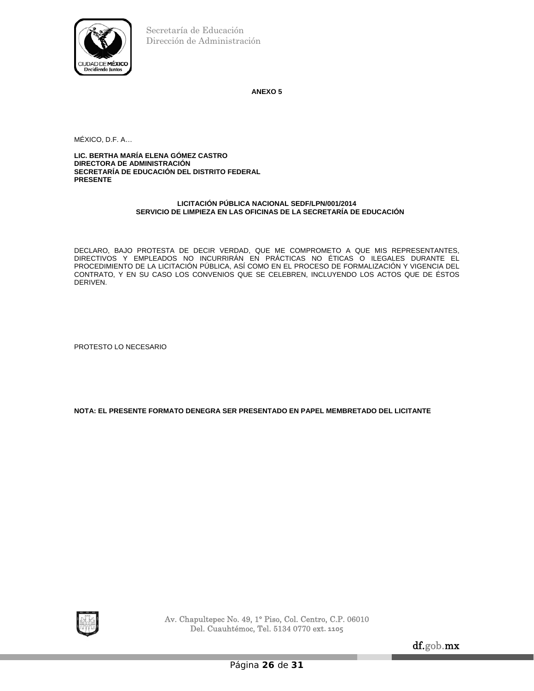

**ANEXO 5** 

MÉXICO, D.F. A…

**LIC. BERTHA MARÍA ELENA GÓMEZ CASTRO DIRECTORA DE ADMINISTRACIÓN SECRETARÍA DE EDUCACIÓN DEL DISTRITO FEDERAL PRESENTE** 

## **LICITACIÓN PÚBLICA NACIONAL SEDF/LPN/001/2014 SERVICIO DE LIMPIEZA EN LAS OFICINAS DE LA SECRETARÍA DE EDUCACIÓN**

DECLARO, BAJO PROTESTA DE DECIR VERDAD, QUE ME COMPROMETO A QUE MIS REPRESENTANTES, DIRECTIVOS Y EMPLEADOS NO INCURRIRÁN EN PRÁCTICAS NO ÉTICAS O ILEGALES DURANTE EL PROCEDIMIENTO DE LA LICITACIÓN PÚBLICA, ASÍ COMO EN EL PROCESO DE FORMALIZACIÓN Y VIGENCIA DEL CONTRATO, Y EN SU CASO LOS CONVENIOS QUE SE CELEBREN, INCLUYENDO LOS ACTOS QUE DE ÉSTOS DERIVEN.

PROTESTO LO NECESARIO

**NOTA: EL PRESENTE FORMATO DENEGRA SER PRESENTADO EN PAPEL MEMBRETADO DEL LICITANTE** 



Av. Chapultepec No. 49, 1° Piso, Col. Centro, C.P. 06010 Del. Cuauhtémoc, Tel. 5134 0770 ext**. 1105**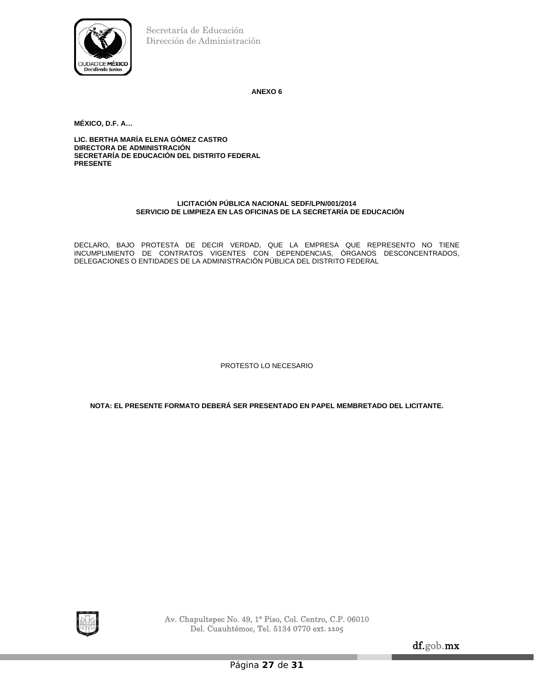

**ANEXO 6** 

**MÉXICO, D.F. A…** 

**LIC. BERTHA MARÍA ELENA GÓMEZ CASTRO DIRECTORA DE ADMINISTRACIÓN SECRETARÍA DE EDUCACIÓN DEL DISTRITO FEDERAL PRESENTE** 

## **LICITACIÓN PÚBLICA NACIONAL SEDF/LPN/001/2014 SERVICIO DE LIMPIEZA EN LAS OFICINAS DE LA SECRETARÍA DE EDUCACIÓN**

DECLARO, BAJO PROTESTA DE DECIR VERDAD, QUE LA EMPRESA QUE REPRESENTO NO TIENE INCUMPLIMIENTO DE CONTRATOS VIGENTES CON DEPENDENCIAS, ÓRGANOS DESCONCENTRADOS, DELEGACIONES O ENTIDADES DE LA ADMINISTRACIÓN PÚBLICA DEL DISTRITO FEDERAL

PROTESTO LO NECESARIO

**NOTA: EL PRESENTE FORMATO DEBERÁ SER PRESENTADO EN PAPEL MEMBRETADO DEL LICITANTE.** 



Av. Chapultepec No. 49, 1° Piso, Col. Centro, C.P. 06010 Del. Cuauhtémoc, Tel. 5134 0770 ext**. 1105**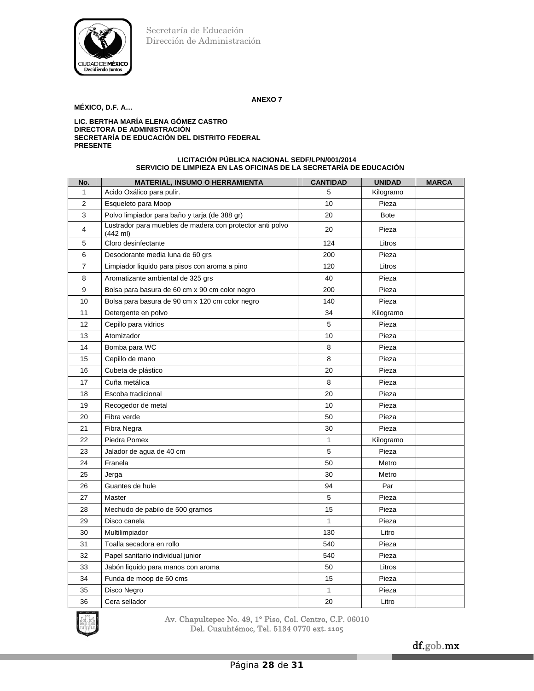

## **ANEXO 7**

# **MÉXICO, D.F. A…**

#### **LIC. BERTHA MARÍA ELENA GÓMEZ CASTRO DIRECTORA DE ADMINISTRACIÓN SECRETARÍA DE EDUCACIÓN DEL DISTRITO FEDERAL PRESENTE**

#### **LICITACIÓN PÚBLICA NACIONAL SEDF/LPN/001/2014 SERVICIO DE LIMPIEZA EN LAS OFICINAS DE LA SECRETARÍA DE EDUCACIÓN**

| No.            | <b>MATERIAL, INSUMO O HERRAMIENTA</b>                                           | <b>CANTIDAD</b> | <b>UNIDAD</b> | <b>MARCA</b> |
|----------------|---------------------------------------------------------------------------------|-----------------|---------------|--------------|
| 1              | Acido Oxálico para pulir.                                                       | 5               | Kilogramo     |              |
| $\overline{2}$ | Esqueleto para Moop                                                             | 10              | Pieza         |              |
| 3              | Polvo limpiador para baño y tarja (de 388 gr)                                   | 20              | <b>Bote</b>   |              |
| 4              | Lustrador para muebles de madera con protector anti polvo<br>$(442 \text{ ml})$ | 20              | Pieza         |              |
| 5              | Cloro desinfectante                                                             | 124             | Litros        |              |
| 6              | Desodorante media luna de 60 grs                                                | 200             | Pieza         |              |
| 7              | Limpiador liquido para pisos con aroma a pino                                   | 120             | Litros        |              |
| 8              | Aromatizante ambiental de 325 grs                                               | 40              | Pieza         |              |
| 9              | Bolsa para basura de 60 cm x 90 cm color negro                                  | 200             | Pieza         |              |
| 10             | Bolsa para basura de 90 cm x 120 cm color negro                                 | 140             | Pieza         |              |
| 11             | Detergente en polvo                                                             | 34              | Kilogramo     |              |
| 12             | Cepillo para vidrios                                                            | 5               | Pieza         |              |
| 13             | Atomizador                                                                      | 10              | Pieza         |              |
| 14             | Bomba para WC                                                                   | 8               | Pieza         |              |
| 15             | Cepillo de mano                                                                 | 8               | Pieza         |              |
| 16             | Cubeta de plástico                                                              | 20              | Pieza         |              |
| 17             | Cuña metálica                                                                   | 8               | Pieza         |              |
| 18             | Escoba tradicional                                                              | 20              | Pieza         |              |
| 19             | Recogedor de metal                                                              | 10              | Pieza         |              |
| 20             | Fibra verde                                                                     | 50              | Pieza         |              |
| 21             | Fibra Negra                                                                     | 30              | Pieza         |              |
| 22             | Piedra Pomex                                                                    | 1               | Kilogramo     |              |
| 23             | Jalador de agua de 40 cm                                                        | 5               | Pieza         |              |
| 24             | Franela                                                                         | 50              | Metro         |              |
| 25             | Jerga                                                                           | 30              | Metro         |              |
| 26             | Guantes de hule                                                                 | 94              | Par           |              |
| 27             | Master                                                                          | 5               | Pieza         |              |
| 28             | Mechudo de pabilo de 500 gramos                                                 | 15              | Pieza         |              |
| 29             | Disco canela                                                                    | 1               | Pieza         |              |
| 30             | Multilimpiador                                                                  | 130             | Litro         |              |
| 31             | Toalla secadora en rollo                                                        | 540             | Pieza         |              |
| 32             | Papel sanitario individual junior                                               | 540             | Pieza         |              |
| 33             | Jabón liquido para manos con aroma                                              | 50              | Litros        |              |
| 34             | Funda de moop de 60 cms                                                         | 15              | Pieza         |              |
| 35             | Disco Negro                                                                     | 1               | Pieza         |              |
| 36             | Cera sellador                                                                   | 20              | Litro         |              |

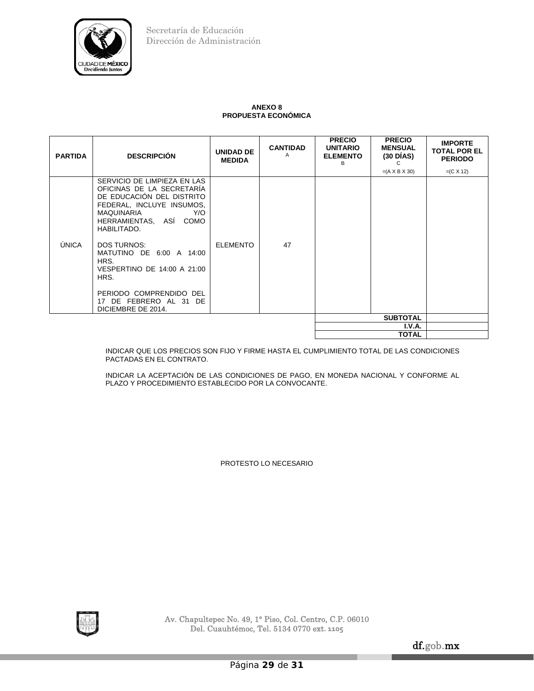

## **ANEXO 8 PROPUESTA ECONÓMICA**

| <b>PARTIDA</b> | <b>DESCRIPCIÓN</b>                                                                                                                                                                                                                                                                                                                                           | <b>UNIDAD DE</b><br><b>MEDIDA</b> | <b>CANTIDAD</b><br>A | <b>PRECIO</b><br><b>UNITARIO</b><br><b>ELEMENTO</b><br>в | <b>PRECIO</b><br><b>MENSUAL</b><br>$(30\overline{\mathrm{D}}\mathrm{IAS})$<br>C | <b>IMPORTE</b><br><b>TOTAL POR EL</b><br><b>PERIODO</b> |
|----------------|--------------------------------------------------------------------------------------------------------------------------------------------------------------------------------------------------------------------------------------------------------------------------------------------------------------------------------------------------------------|-----------------------------------|----------------------|----------------------------------------------------------|---------------------------------------------------------------------------------|---------------------------------------------------------|
| ÚNICA          | SERVICIO DE LIMPIEZA EN LAS<br>OFICINAS DE LA SECRETARÍA<br>DE EDUCACIÓN DEL DISTRITO<br>FEDERAL, INCLUYE INSUMOS,<br>MAQUINARIA<br>Y/O<br>HERRAMIENTAS, ASI COMO<br>HABILITADO.<br><b>DOS TURNOS:</b><br>MATUTINO DE 6:00 A 14:00<br>HRS.<br>VESPERTINO DE 14:00 A 21:00<br>HRS.<br>PERIODO COMPRENDIDO DEL<br>17 DE FEBRERO AL 31 DE<br>DICIEMBRE DE 2014. | <b>ELEMENTO</b>                   | 47                   |                                                          | $=(A \times B \times 30)$                                                       | $=(C X 12)$                                             |
|                |                                                                                                                                                                                                                                                                                                                                                              |                                   |                      |                                                          | <b>SUBTOTAL</b>                                                                 |                                                         |
|                |                                                                                                                                                                                                                                                                                                                                                              |                                   |                      |                                                          | I.V.A.                                                                          |                                                         |
|                |                                                                                                                                                                                                                                                                                                                                                              |                                   |                      |                                                          | TOTAL                                                                           |                                                         |

INDICAR QUE LOS PRECIOS SON FIJO Y FIRME HASTA EL CUMPLIMIENTO TOTAL DE LAS CONDICIONES PACTADAS EN EL CONTRATO.

INDICAR LA ACEPTACIÓN DE LAS CONDICIONES DE PAGO, EN MONEDA NACIONAL Y CONFORME AL PLAZO Y PROCEDIMIENTO ESTABLECIDO POR LA CONVOCANTE.

PROTESTO LO NECESARIO

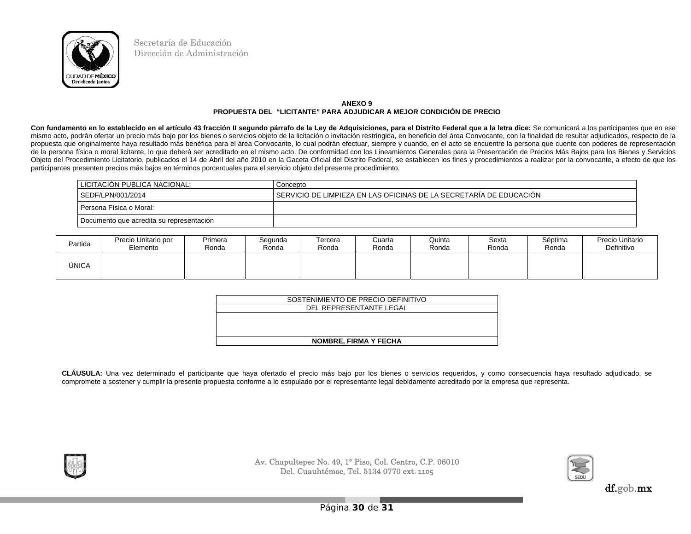

## **ANEXO 9 PROPUESTA DEL "LICITANTE" PARA ADJUDICAR A MEJOR CONDICIÓN DE PRECIO**

Con fundamento en lo establecido en el artículo 43 fracción II segundo párrafo de la Ley de Adquisiciones, para el Distrito Federal que a la letra dice: Se comunicará a los participantes que en ese mismo acto, podrán ofertar un precio más bajo por los bienes o servicios objeto de la licitación o invitación restringida, en beneficio del área Convocante, con la finalidad de resultar adjudicados, respecto de la propuesta que originalmente haya resultado más benéfica para el área Convocante, lo cual podrán efectuar, siempre y cuando, en el acto se encuentre la persona que cuente con poderes de representación de la persona física o moral licitante, lo que deberá ser acreditado en el mismo acto. De conformidad con los Lineamientos Generales para la Presentación de Precios Más Bajos para los Bienes y Servicios Objeto del Procedimiento Licitatorio, publicados el 14 de Abril del año 2010 en la Gaceta Oficial del Distrito Federal, se establecen los fines y procedimientos a realizar por la convocante, a efecto de que los participantes presenten precios más bajos en términos porcentuales para el servicio objeto del presente procedimiento.

| LICITACION PUBLICA NACIONAL:             | Concepto                                                           |
|------------------------------------------|--------------------------------------------------------------------|
| SEDF/LPN/001/2014                        | SERVICIO DE LIMPIEZA EN LAS OFICINAS DE LA SECRETARÍA DE EDUCACIÓN |
| Persona Física o Moral:                  |                                                                    |
| Documento que acredita su representación |                                                                    |

| Partida | Precio Unitario por | Primera | Segunda | Tercera | Cuarta | Quinta | Sexta | Séptima | Precio Unitario |
|---------|---------------------|---------|---------|---------|--------|--------|-------|---------|-----------------|
|         | Elemento            | Ronda   | Ronda   | Ronda   | Ronda  | Ronda  | Ronda | Ronda   | Definitivo      |
| ÚNICA   |                     |         |         |         |        |        |       |         |                 |

| SOSTENIMIENTO DE PRECIO DEFINITIVO |
|------------------------------------|
| DEL REPRESENTANTE LEGAL            |
|                                    |
|                                    |
|                                    |
| <b>NOMBRE, FIRMA Y FECHA</b>       |

**CLÁUSULA:** Una vez determinado el participante que haya ofertado el precio más bajo por los bienes o servicios requeridos, y como consecuencia haya resultado adjudicado, se compromete a sostener y cumplir la presente propuesta conforme a lo estipulado por el representante legal debidamente acreditado por la empresa que representa.